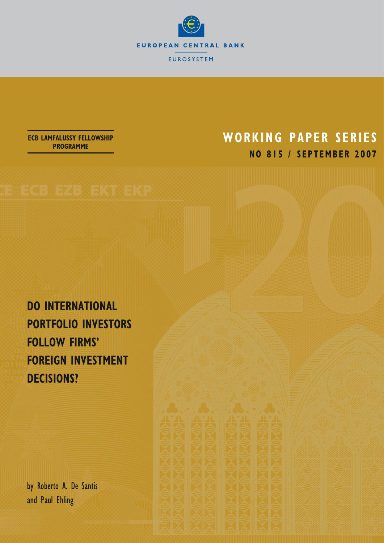

## **WORKING PAPER SERIES NO 815 / SEPTEMBER 2007**

**ECB LAMFALUSSY FELLOWSHIP PROGRAMME**

**DO INTERNATIONAL PORTFOLIO INVESTORS FOLLOW FIRMS' FOREIGN INVESTMENT DECISIONS?** 

by Roberto A. De Santis and Paul Ehling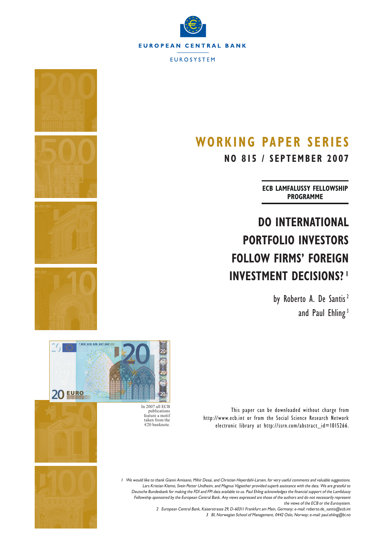

## **WORKING PAPER SERIES**

**NO 815 / SEPTEMBER 2007**

**ECB LAMFALUSSY FELLOWSHIP PROGRAMME**

# **DO INTERNATIONAL PORTFOLIO INVESTORS FOLLOW FIRMS' FOREIGN INVESTMENT DECISIONS? 1**

This paper can be downloaded without charge from

http://www.ecb.int or from the Social Science Research Network electronic library at http://ssrn.com/abstract\_id=1015266.

by Roberto A. De Santis<sup>2</sup> and Paul Ehling<sup>3</sup>









In 2007 all ECB publications feature a motif taken from the €20 banknote.



1 We would like to thank Gianni Amisano, Mihir Desai, and Christian Heyerdahl-Larsen, for very useful comments and valuable suggestions. Lars Kristian Klemo, Svein Petter Undheim, and Magnus Vågsether provided superb assistance with the data. We are grateful to Deutsche Bundesbank for making the FDI and FPI data available to us. Paul Ehling acknowledges the financial support of the Lamfalussy Fellowship sponsored by the European Central Bank. Any views expressed are those of the authors and do not necessarily represent the views of the ECB or the Eurosystem.

2 European Central Bank, Kaiserstrasse 29, D-60311 Frankfurt am Main, Germany; e-mail: roberto.de\_santis@ecb.int 3 BI, Norwegian School of Management, 0442 Oslo, Norway; e-mail: paul.ehling@bi.no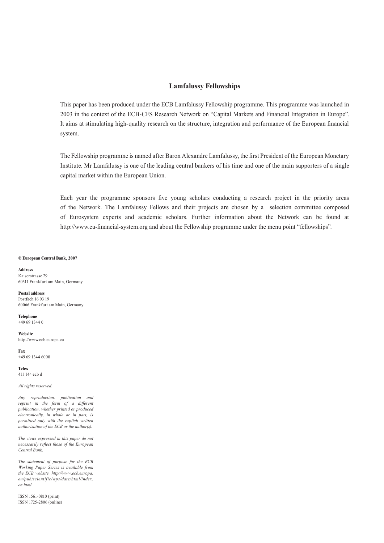#### **Lamfalussy Fellowships**

This paper has been produced under the ECB Lamfalussy Fellowship programme. This programme was launched in 2003 in the context of the ECB-CFS Research Network on "Capital Markets and Financial Integration in Europe". It aims at stimulating high-quality research on the structure, integration and performance of the European financial system.

The Fellowship programme is named after Baron Alexandre Lamfalussy, the first President of the European Monetary Institute. Mr Lamfalussy is one of the leading central bankers of his time and one of the main supporters of a single capital market within the European Union.

Each year the programme sponsors five young scholars conducting a research project in the priority areas of the Network. The Lamfalussy Fellows and their projects are chosen by a selection committee composed of Eurosystem experts and academic scholars. Further information about the Network can be found at http://www.eu-financial-system.org and about the Fellowship programme under the menu point "fellowships".

#### **© European Central Bank, 2007**

**Address**  Kaiserstrasse 29 60311 Frankfurt am Main, Germany

**Postal address**  Postfach 16 03 19 60066 Frankfurt am Main, Germany

**Telephone**  +49 69 1344 0

**Website**  http://www.ecb.europa.eu

**Fax**  +49 69 1344 6000

**Telex**  411 144 ecb d

*All rights reserved.* 

*Any reproduction, publication and reprint in the form of a different publication, whether printed or produced electronically, in whole or in part, is permitted only with the explicit written authorisation of the ECB or the author(s).* 

*The views expressed in this paper do not necessarily reflect those of the European Central Bank.*

*The statement of purpose for the ECB Working Paper Series is available from the ECB website, http://www.ecb.europa. eu/pub/scientific/wps/date/html/index. en.html*

ISSN 1561-0810 (print) ISSN 1725-2806 (online)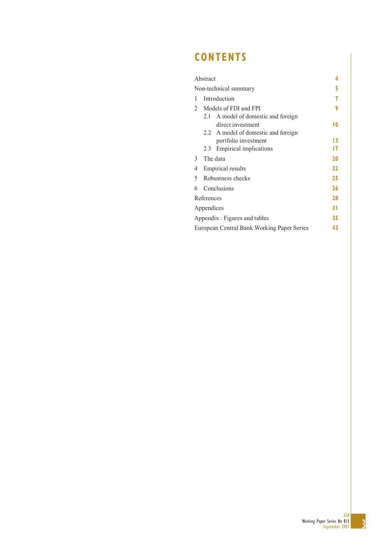## **CONTENTS**

|               | Abstract   |                                            |    |
|---------------|------------|--------------------------------------------|----|
|               |            | Non-technical summary                      |    |
| 1             |            | Introduction                               |    |
| $\mathcal{L}$ |            | Models of FDI and FPI                      | 9  |
|               | 2.1        | A model of domestic and foreign            |    |
|               |            | direct investment                          | 10 |
|               |            | 2.2 A model of domestic and foreign        |    |
|               |            | portfolio investment                       | 13 |
|               | 2.3        | <b>Empirical implications</b>              | 17 |
| 3             |            | The data                                   | 20 |
| 4             |            | <b>Empirical results</b>                   | 22 |
| 5             |            | Robustness checks                          | 25 |
| 6             |            | Conclusions                                | 26 |
|               | References |                                            | 28 |
|               | Appendices |                                            | 31 |
|               |            | Appendix : Figures and tables              | 35 |
|               |            | European Central Bank Working Paper Series | 43 |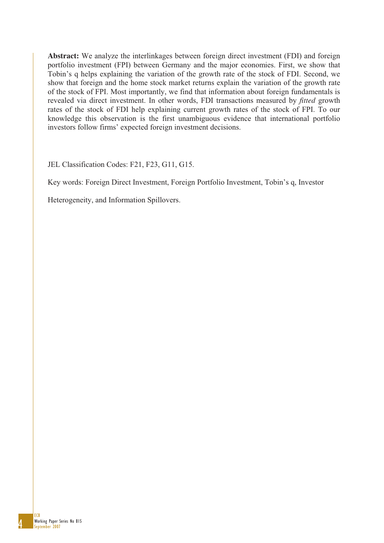**Abstract:** We analyze the interlinkages between foreign direct investment (FDI) and foreign portfolio investment (FPI) between Germany and the major economies. First, we show that Tobin's q helps explaining the variation of the growth rate of the stock of FDI. Second, we show that foreign and the home stock market returns explain the variation of the growth rate of the stock of FPI. Most importantly, we find that information about foreign fundamentals is revealed via direct investment. In other words, FDI transactions measured by *fitted* growth rates of the stock of FDI help explaining current growth rates of the stock of FPI. To our knowledge this observation is the first unambiguous evidence that international portfolio investors follow firms' expected foreign investment decisions.

JEL Classification Codes: F21, F23, G11, G15.

Key words: Foreign Direct Investment, Foreign Portfolio Investment, Tobin's q, Investor

Heterogeneity, and Information Spillovers.

4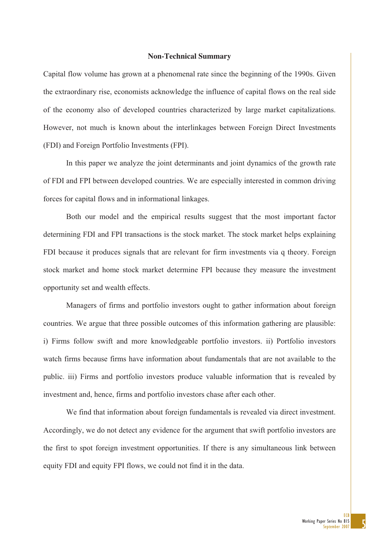#### **Non-Technical Summary**

Capital flow volume has grown at a phenomenal rate since the beginning of the 1990s. Given the extraordinary rise, economists acknowledge the influence of capital flows on the real side of the economy also of developed countries characterized by large market capitalizations. However, not much is known about the interlinkages between Foreign Direct Investments (FDI) and Foreign Portfolio Investments (FPI).

In this paper we analyze the joint determinants and joint dynamics of the growth rate of FDI and FPI between developed countries. We are especially interested in common driving forces for capital flows and in informational linkages.

Both our model and the empirical results suggest that the most important factor determining FDI and FPI transactions is the stock market. The stock market helps explaining FDI because it produces signals that are relevant for firm investments via q theory. Foreign stock market and home stock market determine FPI because they measure the investment opportunity set and wealth effects.

Managers of firms and portfolio investors ought to gather information about foreign countries. We argue that three possible outcomes of this information gathering are plausible: i) Firms follow swift and more knowledgeable portfolio investors. ii) Portfolio investors watch firms because firms have information about fundamentals that are not available to the public. iii) Firms and portfolio investors produce valuable information that is revealed by investment and, hence, firms and portfolio investors chase after each other.

We find that information about foreign fundamentals is revealed via direct investment. Accordingly, we do not detect any evidence for the argument that swift portfolio investors are the first to spot foreign investment opportunities. If there is any simultaneous link between equity FDI and equity FPI flows, we could not find it in the data.

> 5 ECB Working Paper Series No 815 September 2007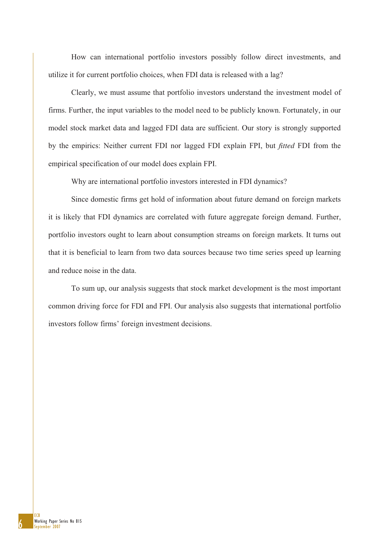How can international portfolio investors possibly follow direct investments, and utilize it for current portfolio choices, when FDI data is released with a lag?

Clearly, we must assume that portfolio investors understand the investment model of firms. Further, the input variables to the model need to be publicly known. Fortunately, in our model stock market data and lagged FDI data are sufficient. Our story is strongly supported by the empirics: Neither current FDI nor lagged FDI explain FPI, but *fitted* FDI from the empirical specification of our model does explain FPI.

Why are international portfolio investors interested in FDI dynamics?

Since domestic firms get hold of information about future demand on foreign markets it is likely that FDI dynamics are correlated with future aggregate foreign demand. Further, portfolio investors ought to learn about consumption streams on foreign markets. It turns out that it is beneficial to learn from two data sources because two time series speed up learning and reduce noise in the data.

To sum up, our analysis suggests that stock market development is the most important common driving force for FDI and FPI. Our analysis also suggests that international portfolio investors follow firms' foreign investment decisions.

6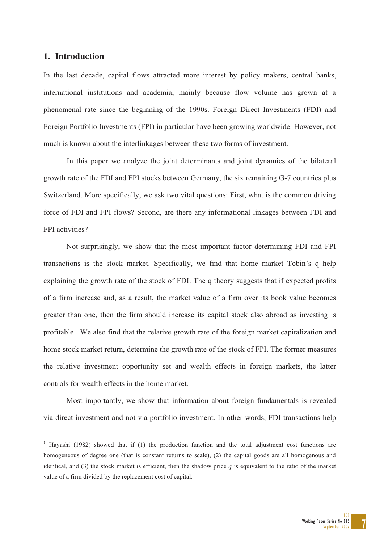#### **1. Introduction**

In the last decade, capital flows attracted more interest by policy makers, central banks, international institutions and academia, mainly because flow volume has grown at a phenomenal rate since the beginning of the 1990s. Foreign Direct Investments (FDI) and Foreign Portfolio Investments (FPI) in particular have been growing worldwide. However, not much is known about the interlinkages between these two forms of investment.

In this paper we analyze the joint determinants and joint dynamics of the bilateral growth rate of the FDI and FPI stocks between Germany, the six remaining G-7 countries plus Switzerland. More specifically, we ask two vital questions: First, what is the common driving force of FDI and FPI flows? Second, are there any informational linkages between FDI and FPI activities?

Not surprisingly, we show that the most important factor determining FDI and FPI transactions is the stock market. Specifically, we find that home market Tobin's q help explaining the growth rate of the stock of FDI. The q theory suggests that if expected profits of a firm increase and, as a result, the market value of a firm over its book value becomes greater than one, then the firm should increase its capital stock also abroad as investing is profitable<sup>1</sup>. We also find that the relative growth rate of the foreign market capitalization and home stock market return, determine the growth rate of the stock of FPI. The former measures the relative investment opportunity set and wealth effects in foreign markets, the latter controls for wealth effects in the home market.

Most importantly, we show that information about foreign fundamentals is revealed via direct investment and not via portfolio investment. In other words, FDI transactions help

<sup>&</sup>lt;sup>1</sup> Hayashi (1982) showed that if (1) the production function and the total adjustment cost functions are homogeneous of degree one (that is constant returns to scale), (2) the capital goods are all homogenous and identical, and (3) the stock market is efficient, then the shadow price  $q$  is equivalent to the ratio of the market value of a firm divided by the replacement cost of capital.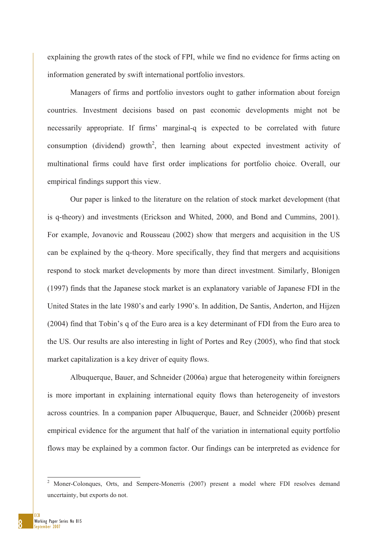explaining the growth rates of the stock of FPI, while we find no evidence for firms acting on information generated by swift international portfolio investors.

Managers of firms and portfolio investors ought to gather information about foreign countries. Investment decisions based on past economic developments might not be necessarily appropriate. If firms' marginal-q is expected to be correlated with future consumption (dividend) growth<sup>2</sup>, then learning about expected investment activity of multinational firms could have first order implications for portfolio choice. Overall, our empirical findings support this view.

Our paper is linked to the literature on the relation of stock market development (that is q-theory) and investments (Erickson and Whited, 2000, and Bond and Cummins, 2001). For example, Jovanovic and Rousseau (2002) show that mergers and acquisition in the US can be explained by the q-theory. More specifically, they find that mergers and acquisitions respond to stock market developments by more than direct investment. Similarly, Blonigen (1997) finds that the Japanese stock market is an explanatory variable of Japanese FDI in the United States in the late 1980's and early 1990's. In addition, De Santis, Anderton, and Hijzen (2004) find that Tobin's q of the Euro area is a key determinant of FDI from the Euro area to the US. Our results are also interesting in light of Portes and Rey (2005), who find that stock market capitalization is a key driver of equity flows.

Albuquerque, Bauer, and Schneider (2006a) argue that heterogeneity within foreigners is more important in explaining international equity flows than heterogeneity of investors across countries. In a companion paper Albuquerque, Bauer, and Schneider (2006b) present empirical evidence for the argument that half of the variation in international equity portfolio flows may be explained by a common factor. Our findings can be interpreted as evidence for

8

<sup>-</sup>2 Moner-Colonques, Orts, and Sempere-Monerris (2007) present a model where FDI resolves demand uncertainty, but exports do not.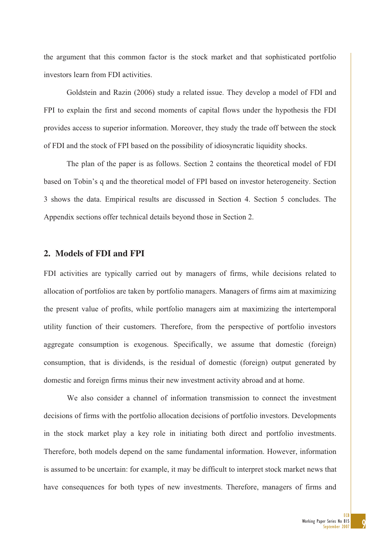the argument that this common factor is the stock market and that sophisticated portfolio investors learn from FDI activities.

Goldstein and Razin (2006) study a related issue. They develop a model of FDI and FPI to explain the first and second moments of capital flows under the hypothesis the FDI provides access to superior information. Moreover, they study the trade off between the stock of FDI and the stock of FPI based on the possibility of idiosyncratic liquidity shocks.

The plan of the paper is as follows. Section 2 contains the theoretical model of FDI based on Tobin's q and the theoretical model of FPI based on investor heterogeneity. Section 3 shows the data. Empirical results are discussed in Section 4. Section 5 concludes. The Appendix sections offer technical details beyond those in Section 2.

#### **2. Models of FDI and FPI**

FDI activities are typically carried out by managers of firms, while decisions related to allocation of portfolios are taken by portfolio managers. Managers of firms aim at maximizing the present value of profits, while portfolio managers aim at maximizing the intertemporal utility function of their customers. Therefore, from the perspective of portfolio investors aggregate consumption is exogenous. Specifically, we assume that domestic (foreign) consumption, that is dividends, is the residual of domestic (foreign) output generated by domestic and foreign firms minus their new investment activity abroad and at home.

We also consider a channel of information transmission to connect the investment decisions of firms with the portfolio allocation decisions of portfolio investors. Developments in the stock market play a key role in initiating both direct and portfolio investments. Therefore, both models depend on the same fundamental information. However, information is assumed to be uncertain: for example, it may be difficult to interpret stock market news that have consequences for both types of new investments. Therefore, managers of firms and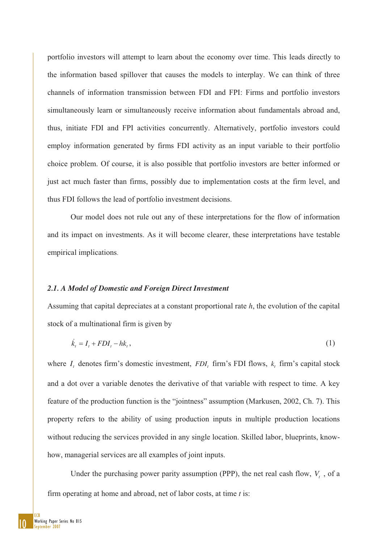portfolio investors will attempt to learn about the economy over time. This leads directly to the information based spillover that causes the models to interplay. We can think of three channels of information transmission between FDI and FPI: Firms and portfolio investors simultaneously learn or simultaneously receive information about fundamentals abroad and, thus, initiate FDI and FPI activities concurrently. Alternatively, portfolio investors could employ information generated by firms FDI activity as an input variable to their portfolio choice problem. Of course, it is also possible that portfolio investors are better informed or just act much faster than firms, possibly due to implementation costs at the firm level, and thus FDI follows the lead of portfolio investment decisions.

Our model does not rule out any of these interpretations for the flow of information and its impact on investments. As it will become clearer, these interpretations have testable empirical implications.

#### *2.1. A Model of Domestic and Foreign Direct Investment*

Assuming that capital depreciates at a constant proportional rate *h*, the evolution of the capital stock of a multinational firm is given by

$$
\dot{k}_t = I_t + FDI_t - hk_t, \qquad (1)
$$

where  $I_t$  denotes firm's domestic investment,  $FDI_t$  firm's FDI flows,  $k_t$  firm's capital stock and a dot over a variable denotes the derivative of that variable with respect to time. A key feature of the production function is the "jointness" assumption (Markusen, 2002, Ch. 7). This property refers to the ability of using production inputs in multiple production locations without reducing the services provided in any single location. Skilled labor, blueprints, knowhow, managerial services are all examples of joint inputs.

Under the purchasing power parity assumption (PPP), the net real cash flow,  $V_t$ , of a firm operating at home and abroad, net of labor costs, at time *t* is: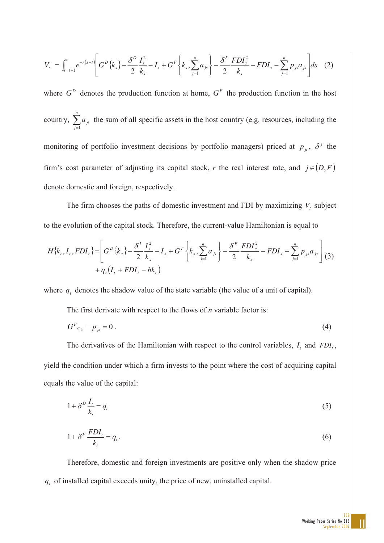$$
V_{t} = \int_{s=t+1}^{\infty} e^{-r(s-t)} \left[ G^{D} \{k_{s} \} - \frac{\delta^{D} I_{s}^{2}}{2 k_{s}} - I_{s} + G^{F} \{k_{s} \} - \frac{n}{2} a_{js} \right] - \frac{\delta^{F} F D I_{s}^{2}}{2 k_{s}} - F D I_{s} - \sum_{j=1}^{n} p_{js} a_{js} \right] ds \quad (2)
$$

where  $G<sup>D</sup>$  denotes the production function at home,  $G<sup>F</sup>$  the production function in the host country,  $\sum_{j=1}^{n}$ *j*  $a_{ji}$ 1 the sum of all specific assets in the host country (e.g. resources, including the monitoring of portfolio investment decisions by portfolio managers) priced at  $p_{jt}$ ,  $\delta^j$  the firm's cost parameter of adjusting its capital stock, *r* the real interest rate, and  $j \in (D, F)$ denote domestic and foreign, respectively.

The firm chooses the paths of domestic investment and FDI by maximizing  $V_t$ , subject to the evolution of the capital stock. Therefore, the current-value Hamiltonian is equal to

$$
H\{k_{t}, I_{t}, FDI_{t}\} = \left[G^{D}\{k_{s}\}-\frac{\delta^{I}I_{s}^{2}}{2k_{s}}-I_{s}+G^{F}\left\{k_{s}, \sum_{j=1}^{n} a_{js}\right\}-\frac{\delta^{F}FDI_{s}^{2}}{2k_{s}}-FDI_{s}-\sum_{j=1}^{n} p_{js} a_{js}\right] (3)
$$
  
+  $q_{t}(I_{t}+FDI_{t}-hk_{t})$ 

where  $q_t$  denotes the shadow value of the state variable (the value of a unit of capital).

The first derivate with respect to the flows of *n* variable factor is:

$$
G^F{}_{a_{js}} - p_{js} = 0 \tag{4}
$$

The derivatives of the Hamiltonian with respect to the control variables,  $I_t$  and  $FDI_t$ , yield the condition under which a firm invests to the point where the cost of acquiring capital equals the value of the capital:

$$
1 + \delta^D \frac{I_t}{k_t} = q_t \tag{5}
$$

$$
1 + \delta^F \frac{FDI_t}{k_t} = q_t.
$$
 (6)

Therefore, domestic and foreign investments are positive only when the shadow price  $q_t$  of installed capital exceeds unity, the price of new, uninstalled capital.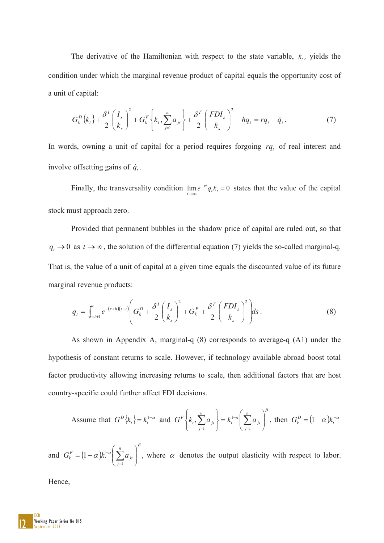The derivative of the Hamiltonian with respect to the state variable,  $k_t$ , yields the condition under which the marginal revenue product of capital equals the opportunity cost of a unit of capital:

$$
G_k^D\{k_t\} + \frac{\delta^I}{2} \left(\frac{I_s}{k_s}\right)^2 + G_k^F\left\{k_t, \sum_{j=1}^n a_{js}\right\} + \frac{\delta^F}{2} \left(\frac{FDI_s}{k_s}\right)^2 - hq_t = rq_t - \dot{q}_t. \tag{7}
$$

In words, owning a unit of capital for a period requires forgoing  $rq_t$  of real interest and involve offsetting gains of  $\dot{q}_t$ .

Finally, the transversality condition  $\lim_{t \to \infty} e^{-rt} q_t k_t = 0$  states that the value of the capital stock must approach zero.

Provided that permanent bubbles in the shadow price of capital are ruled out, so that  $q_t \to 0$  as  $t \to \infty$ , the solution of the differential equation (7) yields the so-called marginal-q. That is, the value of a unit of capital at a given time equals the discounted value of its future marginal revenue products:

$$
q_{t} = \int_{s=t+1}^{\infty} e^{-(r+h)(s-t)} \left( G_{k}^{D} + \frac{\delta^{I}}{2} \left( \frac{I_{s}}{k_{s}} \right)^{2} + G_{k}^{F} + \frac{\delta^{F}}{2} \left( \frac{FDI_{s}}{k_{s}} \right)^{2} \right) ds.
$$
 (8)

As shown in Appendix A, marginal-q (8) corresponds to average-q (A1) under the hypothesis of constant returns to scale. However, if technology available abroad boost total factor productivity allowing increasing returns to scale, then additional factors that are host country-specific could further affect FDI decisions.

Assume that 
$$
G^D\{k_t\} = k_t^{1-\alpha}
$$
 and  $G^F\{k_t, \sum_{j=1}^n a_{js}\} = k_t^{1-\alpha} \left(\sum_{j=1}^n a_{js}\right)^{\beta}$ , then  $G_k^D = (1-\alpha)k_t^{-\alpha}$ 

and  $G_k^F = (1 - \alpha)$  $_{\beta}$  $\alpha$ ) $k_t^{-\alpha}$   $\sum a_{js}$  $\overline{y}$ ·  $\parallel$  $=(1-\alpha)k_t^{-\alpha}\left(\sum_{j=1}^n\right)$ *j*  $G_k^F = (1 - \alpha)k_i^{-\alpha} \left| \sum a_{js} \right|$ 1  $|1-\alpha|k_t^{-\alpha}| \sum a_{k-1}$ , where  $\alpha$  denotes the output elasticity with respect to labor.

Hence,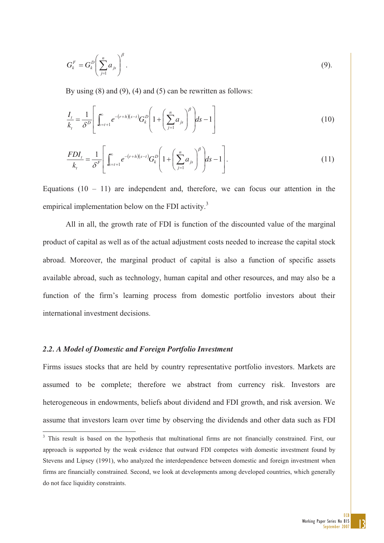$$
G_k^F = G_k^D \left( \sum_{j=1}^n a_{js} \right)^{\beta} . \tag{9}
$$

By using  $(8)$  and  $(9)$ ,  $(4)$  and  $(5)$  can be rewritten as follows:

$$
\frac{I_t}{k_t} = \frac{1}{\delta^D} \left[ \int_{s=t+1}^{\infty} e^{-(r+h)(s-t)} G_k^D \left( 1 + \left( \sum_{j=1}^n a_{js} \right)^{\beta} \right) ds - 1 \right]
$$
(10)

$$
\frac{FDI_t}{k_t} = \frac{1}{\delta^F} \left[ \int_{s=t+1}^{\infty} e^{-(r+h)(s-t)} G_k^D \left( 1 + \left( \sum_{j=1}^n a_{js} \right)^{\beta} \right) ds - 1 \right].
$$
 (11)

Equations  $(10 - 11)$  are independent and, therefore, we can focus our attention in the empirical implementation below on the FDI activity.<sup>3</sup>

All in all, the growth rate of FDI is function of the discounted value of the marginal product of capital as well as of the actual adjustment costs needed to increase the capital stock abroad. Moreover, the marginal product of capital is also a function of specific assets available abroad, such as technology, human capital and other resources, and may also be a function of the firm's learning process from domestic portfolio investors about their international investment decisions.

#### *2.2. A Model of Domestic and Foreign Portfolio Investment*

Firms issues stocks that are held by country representative portfolio investors. Markets are assumed to be complete; therefore we abstract from currency risk. Investors are heterogeneous in endowments, beliefs about dividend and FDI growth, and risk aversion. We assume that investors learn over time by observing the dividends and other data such as FDI

<sup>&</sup>lt;sup>3</sup> This result is based on the hypothesis that multinational firms are not financially constrained. First, our approach is supported by the weak evidence that outward FDI competes with domestic investment found by Stevens and Lipsey (1991), who analyzed the interdependence between domestic and foreign investment when firms are financially constrained. Second, we look at developments among developed countries, which generally do not face liquidity constraints.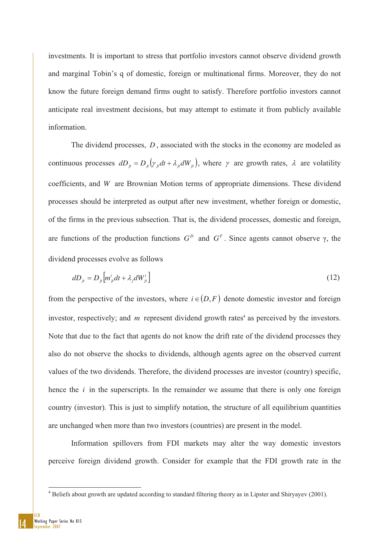investments. It is important to stress that portfolio investors cannot observe dividend growth and marginal Tobin's q of domestic, foreign or multinational firms. Moreover, they do not know the future foreign demand firms ought to satisfy. Therefore portfolio investors cannot anticipate real investment decisions, but may attempt to estimate it from publicly available information.

The dividend processes, *D* , associated with the stocks in the economy are modeled as continuous processes  $dD_{ji} = D_{ji} (y_{ji} dt + \lambda_{ji} dW_{ji})$ , where  $\gamma$  are growth rates,  $\lambda$  are volatility coefficients, and *W* are Brownian Motion terms of appropriate dimensions. These dividend processes should be interpreted as output after new investment, whether foreign or domestic, of the firms in the previous subsection. That is, the dividend processes, domestic and foreign, are functions of the production functions  $G<sup>D</sup>$  and  $G<sup>F</sup>$ . Since agents cannot observe  $\gamma$ , the dividend processes evolve as follows

$$
dD_{ji} = D_{ji} \left[ m_{ji}^i dt + \lambda_j dW_{ji}^i \right] \tag{12}
$$

from the perspective of the investors, where  $i \in (D, F)$  denote domestic investor and foreign investor, respectively; and  $m$  represent dividend growth rates<sup>4</sup> as perceived by the investors. Note that due to the fact that agents do not know the drift rate of the dividend processes they also do not observe the shocks to dividends, although agents agree on the observed current values of the two dividends. Therefore, the dividend processes are investor (country) specific, hence the *i* in the superscripts. In the remainder we assume that there is only one foreign country (investor). This is just to simplify notation, the structure of all equilibrium quantities are unchanged when more than two investors (countries) are present in the model.

Information spillovers from FDI markets may alter the way domestic investors perceive foreign dividend growth. Consider for example that the FDI growth rate in the

 4 Beliefs about growth are updated according to standard filtering theory as in Lipster and Shiryayev (2001).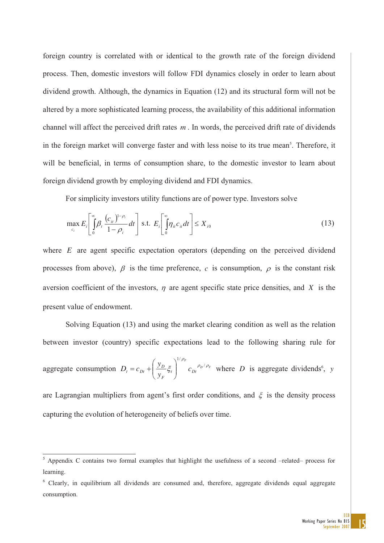foreign country is correlated with or identical to the growth rate of the foreign dividend process. Then, domestic investors will follow FDI dynamics closely in order to learn about dividend growth. Although, the dynamics in Equation (12) and its structural form will not be altered by a more sophisticated learning process, the availability of this additional information channel will affect the perceived drift rates *m* . In words, the perceived drift rate of dividends in the foreign market will converge faster and with less noise to its true mean<sup>5</sup>. Therefore, it will be beneficial, in terms of consumption share, to the domestic investor to learn about foreign dividend growth by employing dividend and FDI dynamics.

For simplicity investors utility functions are of power type. Investors solve

$$
\max_{c_i} E_i \left[ \int_{0}^{\infty} \beta_i \frac{(c_{ii})^{1-\rho_i}}{1-\rho_i} dt \right] \text{ s.t. } E_i \left[ \int_{0}^{\infty} \eta_{ii} c_{ii} dt \right] \leq X_{i0}
$$
\n(13)

where *E* are agent specific expectation operators (depending on the perceived dividend processes from above),  $\beta$  is the time preference, c is consumption,  $\rho$  is the constant risk aversion coefficient of the investors,  $\eta$  are agent specific state price densities, and *X* is the present value of endowment.

Solving Equation (13) and using the market clearing condition as well as the relation between investor (country) specific expectations lead to the following sharing rule for

aggregate consumption  $D_t = c_{Dt} + \left| \frac{\partial^2 D}{\partial t} \xi_t \right| + c_{Dt}^{\rho_D/\rho_F}$ *F*  $t \downarrow U_{Dt}$ *F*  $\mathcal{L}_t = c_{Dt} + \left(\frac{y_D}{y_F} \xi_t\right)$  *c*  $D_t = c_{Dt} + \left(\frac{y_D}{\rho} \xi_t\right)^{1/\rho_F} c_{Dt}^{-\rho_D/\rho}$  $\left| \xi_t \right|$   $c_{Dt}^{ \rho_D / \rho}$ 1/  $\bigg\}$  $\overline{\phantom{a}}$ ·  $\overline{\phantom{a}}$  $\overline{\mathcal{C}}$  $= c_{Dt} + \left(\frac{y_D}{\xi_t}\right)^{p/2} c_{Dt}^{p/2}$  where *D* is aggregate dividends<sup>6</sup>, *y* 

are Lagrangian multipliers from agent's first order conditions, and  $\xi$  is the density process capturing the evolution of heterogeneity of beliefs over time.

<sup>&</sup>lt;sup>5</sup> Appendix C contains two formal examples that highlight the usefulness of a second –related– process for learning.

<sup>&</sup>lt;sup>6</sup> Clearly, in equilibrium all dividends are consumed and, therefore, aggregate dividends equal aggregate consumption.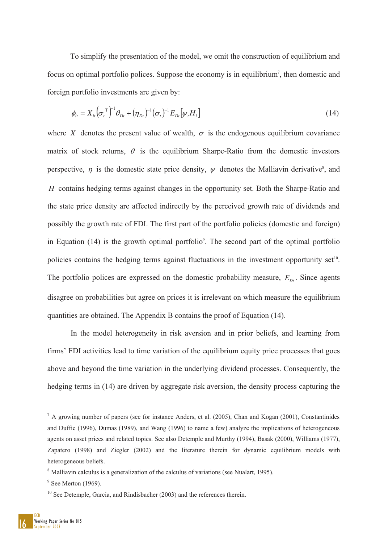To simplify the presentation of the model, we omit the construction of equilibrium and focus on optimal portfolio polices. Suppose the economy is in equilibrium<sup>7</sup>, then domestic and foreign portfolio investments are given by:

$$
\phi_{it} = X_{it} \left( \sigma_t^{\mathrm{T}} \right)^{-1} \theta_{Dt} + (\eta_{Dt})^{-1} (\sigma_t)^{-1} E_{Dt} \left[ \psi_t H_i \right] \tag{14}
$$

where *X* denotes the present value of wealth,  $\sigma$  is the endogenous equilibrium covariance matrix of stock returns,  $\theta$  is the equilibrium Sharpe-Ratio from the domestic investors perspective,  $\eta$  is the domestic state price density,  $\psi$  denotes the Malliavin derivative<sup>8</sup>, and *H* contains hedging terms against changes in the opportunity set. Both the Sharpe-Ratio and the state price density are affected indirectly by the perceived growth rate of dividends and possibly the growth rate of FDI. The first part of the portfolio policies (domestic and foreign) in Equation  $(14)$  is the growth optimal portfolio<sup>9</sup>. The second part of the optimal portfolio policies contains the hedging terms against fluctuations in the investment opportunity set<sup>10</sup>. The portfolio polices are expressed on the domestic probability measure,  $E_{Dt}$ . Since agents disagree on probabilities but agree on prices it is irrelevant on which measure the equilibrium quantities are obtained. The Appendix B contains the proof of Equation (14).

In the model heterogeneity in risk aversion and in prior beliefs, and learning from firms' FDI activities lead to time variation of the equilibrium equity price processes that goes above and beyond the time variation in the underlying dividend processes. Consequently, the hedging terms in (14) are driven by aggregate risk aversion, the density process capturing the

<sup>&</sup>lt;sup>7</sup> A growing number of papers (see for instance Anders, et al. (2005), Chan and Kogan (2001), Constantinides and Duffie (1996), Dumas (1989), and Wang (1996) to name a few) analyze the implications of heterogeneous agents on asset prices and related topics. See also Detemple and Murthy (1994), Basak (2000), Williams (1977), Zapatero (1998) and Ziegler (2002) and the literature therein for dynamic equilibrium models with heterogeneous beliefs.

<sup>&</sup>lt;sup>8</sup> Malliavin calculus is a generalization of the calculus of variations (see Nualart, 1995).

 $<sup>9</sup>$  See Merton (1969).</sup>

 $10$  See Detemple, Garcia, and Rindisbacher (2003) and the references therein.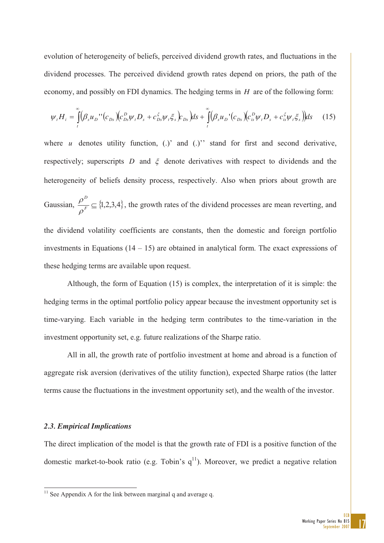evolution of heterogeneity of beliefs, perceived dividend growth rates, and fluctuations in the dividend processes. The perceived dividend growth rates depend on priors, the path of the economy, and possibly on FDI dynamics. The hedging terms in *H* are of the following form:

$$
\psi_{t}H_{i} = \int_{t}^{\infty} (\beta_{s}u_{D}''(c_{Ds})(c_{Ds}^{D}\psi_{t}D_{s} + c_{Ds}^{\xi}\psi_{t}\xi_{s})c_{Ds})ds + \int_{t}^{\infty} (\beta_{s}u_{D}'(c_{Ds})(c_{is}^{D}\psi_{t}D_{s} + c_{is}^{\xi}\psi_{t}\xi_{s}))ds \quad (15)
$$

where  $u$  denotes utility function, (.)' and (.)'' stand for first and second derivative, respectively; superscripts  $D$  and  $\xi$  denote derivatives with respect to dividends and the heterogeneity of beliefs density process, respectively. Also when priors about growth are Gaussian,  $\frac{P}{e^F} \subseteq \{1,2,3,4\}$ *D*  $\rho$  $\frac{\rho^-}{F} \subseteq \{1,2,3,4\}$ , the growth rates of the dividend processes are mean reverting, and the dividend volatility coefficients are constants, then the domestic and foreign portfolio investments in Equations  $(14 - 15)$  are obtained in analytical form. The exact expressions of

these hedging terms are available upon request.

 Although, the form of Equation (15) is complex, the interpretation of it is simple: the hedging terms in the optimal portfolio policy appear because the investment opportunity set is time-varying. Each variable in the hedging term contributes to the time-variation in the investment opportunity set, e.g. future realizations of the Sharpe ratio.

All in all, the growth rate of portfolio investment at home and abroad is a function of aggregate risk aversion (derivatives of the utility function), expected Sharpe ratios (the latter terms cause the fluctuations in the investment opportunity set), and the wealth of the investor.

#### *2.3. Empirical Implications*

 $\overline{a}$ 

The direct implication of the model is that the growth rate of FDI is a positive function of the domestic market-to-book ratio (e.g. Tobin's  $q^{11}$ ). Moreover, we predict a negative relation

 $11$  See Appendix A for the link between marginal q and average q.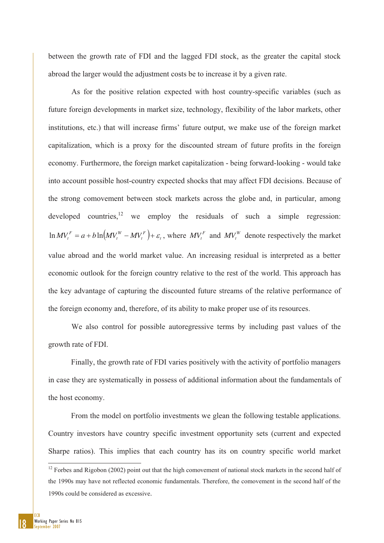between the growth rate of FDI and the lagged FDI stock, as the greater the capital stock abroad the larger would the adjustment costs be to increase it by a given rate.

As for the positive relation expected with host country-specific variables (such as future foreign developments in market size, technology, flexibility of the labor markets, other institutions, etc.) that will increase firms' future output, we make use of the foreign market capitalization, which is a proxy for the discounted stream of future profits in the foreign economy. Furthermore, the foreign market capitalization - being forward-looking - would take into account possible host-country expected shocks that may affect FDI decisions. Because of the strong comovement between stock markets across the globe and, in particular, among developed countries, <sup>12</sup> we employ the residuals of such a simple regression:  $\left(MV^W_t-MV^F_t\right)+\varepsilon_t$ *t W*  $\ln MV_t^F = a + b \ln(MV_t^W - MV_t^F) + \varepsilon_t$ , where  $MV_t^F$  and  $MV_t^W$  denote respectively the market value abroad and the world market value. An increasing residual is interpreted as a better economic outlook for the foreign country relative to the rest of the world. This approach has the key advantage of capturing the discounted future streams of the relative performance of the foreign economy and, therefore, of its ability to make proper use of its resources.

We also control for possible autoregressive terms by including past values of the growth rate of FDI.

Finally, the growth rate of FDI varies positively with the activity of portfolio managers in case they are systematically in possess of additional information about the fundamentals of the host economy.

From the model on portfolio investments we glean the following testable applications. Country investors have country specific investment opportunity sets (current and expected Sharpe ratios). This implies that each country has its on country specific world market

 $\overline{a}$ 

 $12$  Forbes and Rigobon (2002) point out that the high comovement of national stock markets in the second half of the 1990s may have not reflected economic fundamentals. Therefore, the comovement in the second half of the 1990s could be considered as excessive.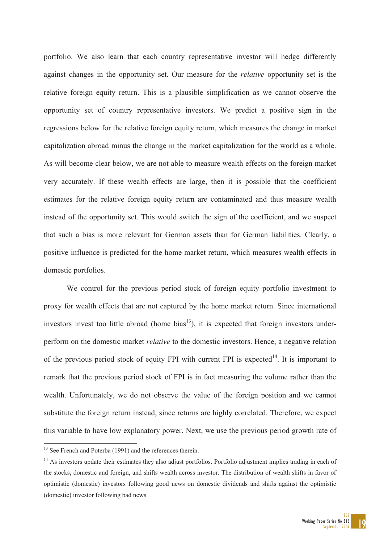portfolio. We also learn that each country representative investor will hedge differently against changes in the opportunity set. Our measure for the *relative* opportunity set is the relative foreign equity return. This is a plausible simplification as we cannot observe the opportunity set of country representative investors. We predict a positive sign in the regressions below for the relative foreign equity return, which measures the change in market capitalization abroad minus the change in the market capitalization for the world as a whole. As will become clear below, we are not able to measure wealth effects on the foreign market very accurately. If these wealth effects are large, then it is possible that the coefficient estimates for the relative foreign equity return are contaminated and thus measure wealth instead of the opportunity set. This would switch the sign of the coefficient, and we suspect that such a bias is more relevant for German assets than for German liabilities. Clearly, a positive influence is predicted for the home market return, which measures wealth effects in domestic portfolios.

We control for the previous period stock of foreign equity portfolio investment to proxy for wealth effects that are not captured by the home market return. Since international investors invest too little abroad (home  $bias<sup>13</sup>$ ), it is expected that foreign investors underperform on the domestic market *relative* to the domestic investors. Hence, a negative relation of the previous period stock of equity FPI with current FPI is expected<sup>14</sup>. It is important to remark that the previous period stock of FPI is in fact measuring the volume rather than the wealth. Unfortunately, we do not observe the value of the foreign position and we cannot substitute the foreign return instead, since returns are highly correlated. Therefore, we expect this variable to have low explanatory power. Next, we use the previous period growth rate of

-

 $13$  See French and Poterba (1991) and the references therein.

<sup>&</sup>lt;sup>14</sup> As investors update their estimates they also adjust portfolios. Portfolio adjustment implies trading in each of the stocks, domestic and foreign, and shifts wealth across investor. The distribution of wealth shifts in favor of optimistic (domestic) investors following good news on domestic dividends and shifts against the optimistic (domestic) investor following bad news.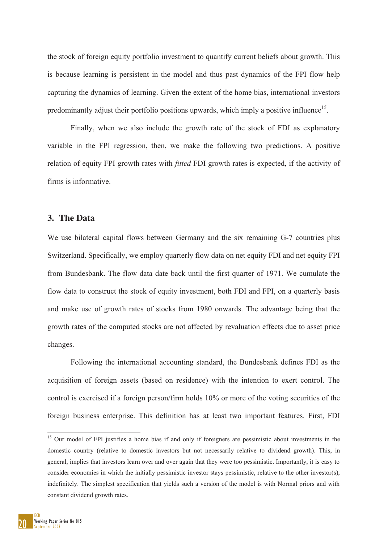the stock of foreign equity portfolio investment to quantify current beliefs about growth. This is because learning is persistent in the model and thus past dynamics of the FPI flow help capturing the dynamics of learning. Given the extent of the home bias, international investors predominantly adjust their portfolio positions upwards, which imply a positive influence<sup>15</sup>.

Finally, when we also include the growth rate of the stock of FDI as explanatory variable in the FPI regression, then, we make the following two predictions. A positive relation of equity FPI growth rates with *fitted* FDI growth rates is expected, if the activity of firms is informative.

### **3. The Data**

We use bilateral capital flows between Germany and the six remaining G-7 countries plus Switzerland. Specifically, we employ quarterly flow data on net equity FDI and net equity FPI from Bundesbank. The flow data date back until the first quarter of 1971. We cumulate the flow data to construct the stock of equity investment, both FDI and FPI, on a quarterly basis and make use of growth rates of stocks from 1980 onwards. The advantage being that the growth rates of the computed stocks are not affected by revaluation effects due to asset price changes.

Following the international accounting standard, the Bundesbank defines FDI as the acquisition of foreign assets (based on residence) with the intention to exert control. The control is exercised if a foreign person/firm holds 10% or more of the voting securities of the foreign business enterprise. This definition has at least two important features. First, FDI

-

<sup>&</sup>lt;sup>15</sup> Our model of FPI justifies a home bias if and only if foreigners are pessimistic about investments in the domestic country (relative to domestic investors but not necessarily relative to dividend growth). This, in general, implies that investors learn over and over again that they were too pessimistic. Importantly, it is easy to consider economies in which the initially pessimistic investor stays pessimistic, relative to the other investor(s), indefinitely. The simplest specification that yields such a version of the model is with Normal priors and with constant dividend growth rates.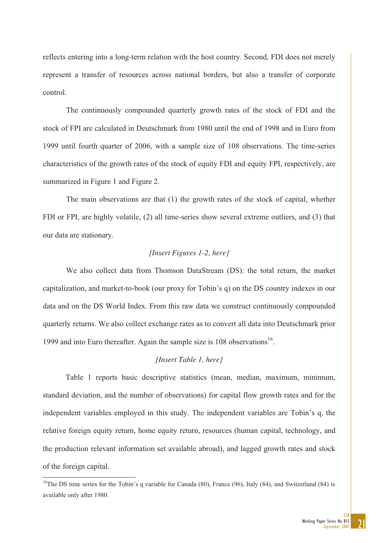reflects entering into a long-term relation with the host country. Second, FDI does not merely represent a transfer of resources across national borders, but also a transfer of corporate control.

The continuously compounded quarterly growth rates of the stock of FDI and the stock of FPI are calculated in Deutschmark from 1980 until the end of 1998 and in Euro from 1999 until fourth quarter of 2006, with a sample size of 108 observations. The time-series characteristics of the growth rates of the stock of equity FDI and equity FPI, respectively, are summarized in Figure 1 and Figure 2.

The main observations are that (1) the growth rates of the stock of capital, whether FDI or FPI, are highly volatile, (2) all time-series show several extreme outliers, and (3) that our data are stationary.

#### *[Insert Figures 1-2, here]*

We also collect data from Thomson DataStream (DS): the total return, the market capitalization, and market-to-book (our proxy for Tobin's q) on the DS country indexes in our data and on the DS World Index. From this raw data we construct continuously compounded quarterly returns. We also collect exchange rates as to convert all data into Deutschmark prior 1999 and into Euro thereafter. Again the sample size is  $108$  observations<sup>16</sup>.

#### *[Insert Table 1, here]*

Table 1 reports basic descriptive statistics (mean, median, maximum, minimum, standard deviation, and the number of observations) for capital flow growth rates and for the independent variables employed in this study. The independent variables are Tobin's q, the relative foreign equity return, home equity return, resources (human capital, technology, and the production relevant information set available abroad), and lagged growth rates and stock of the foreign capital.

 $\overline{a}$ 

<sup>&</sup>lt;sup>16</sup>The DS time series for the Tobin's q variable for Canada  $(80)$ , France  $(96)$ , Italy  $(84)$ , and Switzerland  $(84)$  is available only after 1980.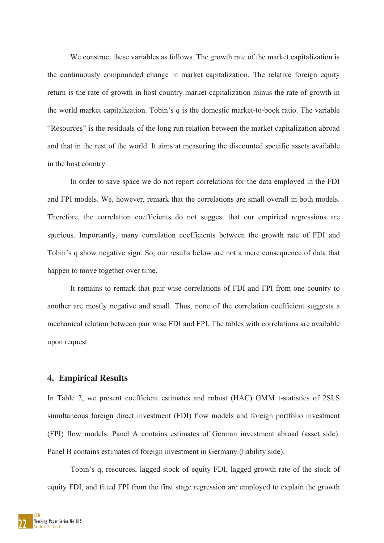We construct these variables as follows. The growth rate of the market capitalization is the continuously compounded change in market capitalization. The relative foreign equity return is the rate of growth in host country market capitalization minus the rate of growth in the world market capitalization. Tobin's q is the domestic market-to-book ratio. The variable "Resources" is the residuals of the long run relation between the market capitalization abroad and that in the rest of the world. It aims at measuring the discounted specific assets available in the host country.

In order to save space we do not report correlations for the data employed in the FDI and FPI models. We, however, remark that the correlations are small overall in both models. Therefore, the correlation coefficients do not suggest that our empirical regressions are spurious. Importantly, many correlation coefficients between the growth rate of FDI and Tobin's q show negative sign. So, our results below are not a mere consequence of data that happen to move together over time.

It remains to remark that pair wise correlations of FDI and FPI from one country to another are mostly negative and small. Thus, none of the correlation coefficient suggests a mechanical relation between pair wise FDI and FPI. The tables with correlations are available upon request.

#### **4. Empirical Results**

In Table 2, we present coefficient estimates and robust (HAC) GMM t-statistics of 2SLS simultaneous foreign direct investment (FDI) flow models and foreign portfolio investment (FPI) flow models. Panel A contains estimates of German investment abroad (asset side). Panel B contains estimates of foreign investment in Germany (liability side).

Tobin's q, resources, lagged stock of equity FDI, lagged growth rate of the stock of equity FDI, and fitted FPI from the first stage regression are employed to explain the growth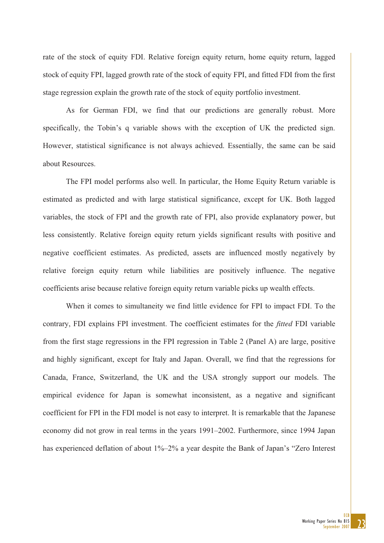rate of the stock of equity FDI. Relative foreign equity return, home equity return, lagged stock of equity FPI, lagged growth rate of the stock of equity FPI, and fitted FDI from the first stage regression explain the growth rate of the stock of equity portfolio investment.

As for German FDI, we find that our predictions are generally robust. More specifically, the Tobin's q variable shows with the exception of UK the predicted sign. However, statistical significance is not always achieved. Essentially, the same can be said about Resources.

The FPI model performs also well. In particular, the Home Equity Return variable is estimated as predicted and with large statistical significance, except for UK. Both lagged variables, the stock of FPI and the growth rate of FPI, also provide explanatory power, but less consistently. Relative foreign equity return yields significant results with positive and negative coefficient estimates. As predicted, assets are influenced mostly negatively by relative foreign equity return while liabilities are positively influence. The negative coefficients arise because relative foreign equity return variable picks up wealth effects.

When it comes to simultaneity we find little evidence for FPI to impact FDI. To the contrary, FDI explains FPI investment. The coefficient estimates for the *fitted* FDI variable from the first stage regressions in the FPI regression in Table 2 (Panel A) are large, positive and highly significant, except for Italy and Japan. Overall, we find that the regressions for Canada, France, Switzerland, the UK and the USA strongly support our models. The empirical evidence for Japan is somewhat inconsistent, as a negative and significant coefficient for FPI in the FDI model is not easy to interpret. It is remarkable that the Japanese economy did not grow in real terms in the years 1991–2002. Furthermore, since 1994 Japan has experienced deflation of about  $1\%$ –2% a year despite the Bank of Japan's "Zero Interest"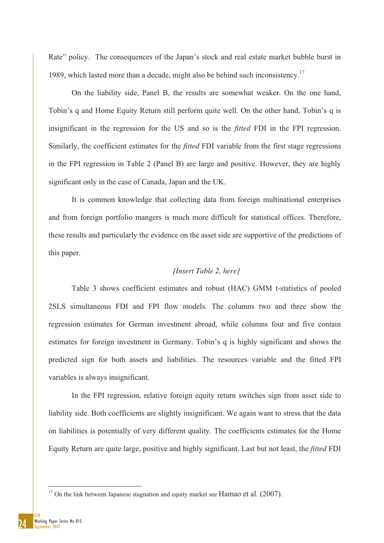Rate" policy. The consequences of the Japan's stock and real estate market bubble burst in 1989, which lasted more than a decade, might also be behind such inconsistency.<sup>17</sup>

On the liability side, Panel B, the results are somewhat weaker. On the one hand, Tobin's q and Home Equity Return still perform quite well. On the other hand, Tobin's q is insignificant in the regression for the US and so is the *fitted* FDI in the FPI regression. Similarly, the coefficient estimates for the *fitted* FDI variable from the first stage regressions in the FPI regression in Table 2 (Panel B) are large and positive. However, they are highly significant only in the case of Canada, Japan and the UK.

It is common knowledge that collecting data from foreign multinational enterprises and from foreign portfolio mangers is much more difficult for statistical offices. Therefore, these results and particularly the evidence on the asset side are supportive of the predictions of this paper.

#### *[Insert Table 2, here]*

Table 3 shows coefficient estimates and robust (HAC) GMM t-statistics of pooled 2SLS simultaneous FDI and FPI flow models. The columns two and three show the regression estimates for German investment abroad, while columns four and five contain estimates for foreign investment in Germany. Tobin's q is highly significant and shows the predicted sign for both assets and liabilities. The resources variable and the fitted FPI variables is always insignificant.

In the FPI regression, relative foreign equity return switches sign from asset side to liability side. Both coefficients are slightly insignificant. We again want to stress that the data on liabilities is potentially of very different quality. The coefficients estimates for the Home Equity Return are quite large, positive and highly significant. Last but not least, the *fitted* FDI

1

 $17$  On the link between Japanese stagnation and equity market see Hamao et al. (2007).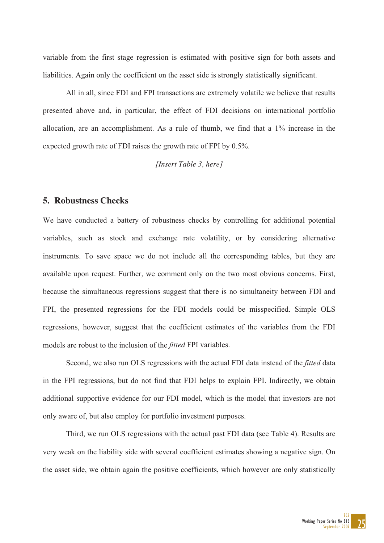variable from the first stage regression is estimated with positive sign for both assets and liabilities. Again only the coefficient on the asset side is strongly statistically significant.

All in all, since FDI and FPI transactions are extremely volatile we believe that results presented above and, in particular, the effect of FDI decisions on international portfolio allocation, are an accomplishment. As a rule of thumb, we find that a 1% increase in the expected growth rate of FDI raises the growth rate of FPI by 0.5%.

*[Insert Table 3, here]*

#### **5. Robustness Checks**

We have conducted a battery of robustness checks by controlling for additional potential variables, such as stock and exchange rate volatility, or by considering alternative instruments. To save space we do not include all the corresponding tables, but they are available upon request. Further, we comment only on the two most obvious concerns. First, because the simultaneous regressions suggest that there is no simultaneity between FDI and FPI, the presented regressions for the FDI models could be misspecified. Simple OLS regressions, however, suggest that the coefficient estimates of the variables from the FDI models are robust to the inclusion of the *fitted* FPI variables.

Second, we also run OLS regressions with the actual FDI data instead of the *fitted* data in the FPI regressions, but do not find that FDI helps to explain FPI. Indirectly, we obtain additional supportive evidence for our FDI model, which is the model that investors are not only aware of, but also employ for portfolio investment purposes.

Third, we run OLS regressions with the actual past FDI data (see Table 4). Results are very weak on the liability side with several coefficient estimates showing a negative sign. On the asset side, we obtain again the positive coefficients, which however are only statistically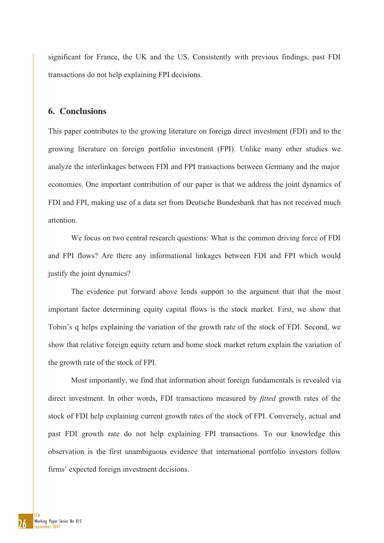significant for France, the UK and the US. Consistently with previous findings, past FDI transactions do not help explaining FPI decisions.

#### **6. Conclusions**

This paper contributes to the growing literature on foreign direct investment (FDI) and to the growing literature on foreign portfolio investment (FPI). Unlike many other studies we analyze the interlinkages between FDI and FPI transactions between Germany and the major economies. One important contribution of our paper is that we address the joint dynamics of FDI and FPI, making use of a data set from Deutsche Bundesbank that has not received much attention.

We focus on two central research questions: What is the common driving force of FDI and FPI flows? Are there any informational linkages between FDI and FPI which would justify the joint dynamics?

The evidence put forward above lends support to the argument that that the most important factor determining equity capital flows is the stock market. First, we show that Tobin's q helps explaining the variation of the growth rate of the stock of FDI. Second, we show that relative foreign equity return and home stock market return explain the variation of the growth rate of the stock of FPI.

Most importantly, we find that information about foreign fundamentals is revealed via direct investment. In other words, FDI transactions measured by *fitted* growth rates of the stock of FDI help explaining current growth rates of the stock of FPI. Conversely, actual and past FDI growth rate do not help explaining FPI transactions. To our knowledge this observation is the first unambiguous evidence that international portfolio investors follow firms' expected foreign investment decisions.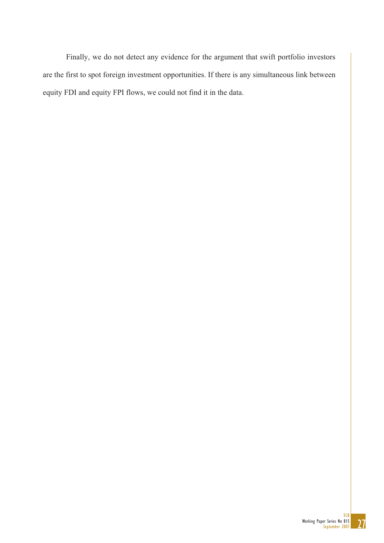Finally, we do not detect any evidence for the argument that swift portfolio investors are the first to spot foreign investment opportunities. If there is any simultaneous link between equity FDI and equity FPI flows, we could not find it in the data.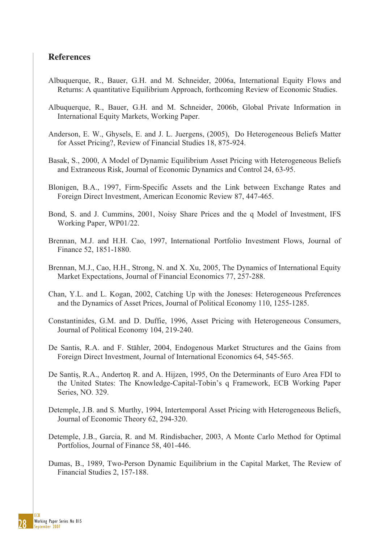#### **References**

- Albuquerque, R., Bauer, G.H. and M. Schneider, 2006a, International Equity Flows and Returns: A quantitative Equilibrium Approach, forthcoming Review of Economic Studies.
- Albuquerque, R., Bauer, G.H. and M. Schneider, 2006b, Global Private Information in International Equity Markets, Working Paper.
- Anderson, E. W., Ghysels, E. and J. L. Juergens, (2005), Do Heterogeneous Beliefs Matter for Asset Pricing?, Review of Financial Studies 18, 875-924.
- Basak, S., 2000, A Model of Dynamic Equilibrium Asset Pricing with Heterogeneous Beliefs and Extraneous Risk, Journal of Economic Dynamics and Control 24, 63-95.
- Blonigen, B.A., 1997, Firm-Specific Assets and the Link between Exchange Rates and Foreign Direct Investment, American Economic Review 87, 447-465.
- Bond, S. and J. Cummins, 2001, Noisy Share Prices and the q Model of Investment, IFS Working Paper, WP01/22.
- Brennan, M.J. and H.H. Cao, 1997, International Portfolio Investment Flows, Journal of Finance 52, 1851-1880.
- Brennan, M.J., Cao, H.H., Strong, N. and X. Xu, 2005, The Dynamics of International Equity Market Expectations, Journal of Financial Economics 77, 257-288.
- Chan, Y.L. and L. Kogan, 2002, Catching Up with the Joneses: Heterogeneous Preferences and the Dynamics of Asset Prices, Journal of Political Economy 110, 1255-1285.
- Constantinides, G.M. and D. Duffie, 1996, Asset Pricing with Heterogeneous Consumers, Journal of Political Economy 104, 219-240.
- De Santis, R.A. and F. Stähler, 2004, Endogenous Market Structures and the Gains from Foreign Direct Investment, Journal of International Economics 64, 545-565.
- De Santis, R.A., Anderton R. and A. Hijzen, 1995, On the Determinants of Euro Area FDI to the United States: The Knowledge-Capital-Tobin's q Framework, ECB Working Paper Series, NO. 329.
- Detemple, J.B. and S. Murthy, 1994, Intertemporal Asset Pricing with Heterogeneous Beliefs, Journal of Economic Theory 62, 294-320.
- Detemple, J.B., Garcia, R. and M. Rindisbacher, 2003, A Monte Carlo Method for Optimal Portfolios, Journal of Finance 58, 401-446.
- Dumas, B., 1989, Two-Person Dynamic Equilibrium in the Capital Market, The Review of Financial Studies 2, 157-188.

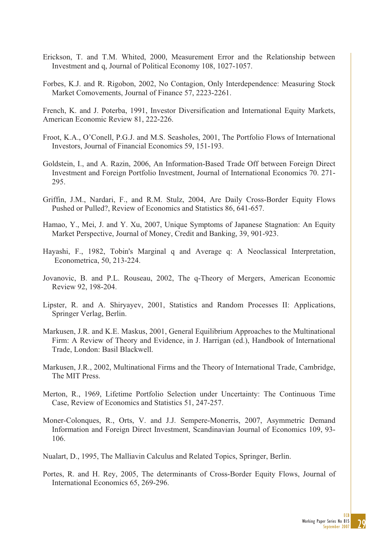- Erickson, T. and T.M. Whited, 2000, Measurement Error and the Relationship between Investment and q, Journal of Political Economy 108, 1027-1057.
- Forbes, K.J. and R. Rigobon, 2002, No Contagion, Only Interdependence: Measuring Stock Market Comovements, Journal of Finance 57, 2223-2261.

French, K. and J. Poterba, 1991, Investor Diversification and International Equity Markets, American Economic Review 81, 222-226.

- Froot, K.A., O'Conell, P.G.J. and M.S. Seasholes, 2001, The Portfolio Flows of International Investors, Journal of Financial Economics 59, 151-193.
- Goldstein, I., and A. Razin, 2006, An Information-Based Trade Off between Foreign Direct Investment and Foreign Portfolio Investment, Journal of International Economics 70. 271- 295.
- Griffin, J.M., Nardari, F., and R.M. Stulz, 2004, Are Daily Cross-Border Equity Flows Pushed or Pulled?, Review of Economics and Statistics 86, 641-657.
- Hamao, Y., Mei, J. and Y. Xu, 2007, Unique Symptoms of Japanese Stagnation: An Equity Market Perspective, Journal of Money, Credit and Banking, 39, 901-923.
- Hayashi, F., 1982, Tobin's Marginal q and Average q: A Neoclassical Interpretation, Econometrica, 50, 213-224.
- Jovanovic, B. and P.L. Rouseau, 2002, The q-Theory of Mergers, American Economic Review 92, 198-204.
- Lipster, R. and A. Shiryayev, 2001, Statistics and Random Processes II: Applications, Springer Verlag, Berlin.
- Markusen, J.R. and K.E. Maskus, 2001, General Equilibrium Approaches to the Multinational Firm: A Review of Theory and Evidence, in J. Harrigan (ed.), Handbook of International Trade, London: Basil Blackwell.
- Markusen, J.R., 2002, Multinational Firms and the Theory of International Trade, Cambridge, The MIT Press.
- Merton, R., 1969, Lifetime Portfolio Selection under Uncertainty: The Continuous Time Case, Review of Economics and Statistics 51, 247-257.
- Moner-Colonques, R., Orts, V. and J.J. Sempere-Monerris, 2007, Asymmetric Demand Information and Foreign Direct Investment, Scandinavian Journal of Economics 109, 93- 106.
- Nualart, D., 1995, The Malliavin Calculus and Related Topics, Springer, Berlin.
- Portes, R. and H. Rey, 2005, The determinants of Cross-Border Equity Flows, Journal of International Economics 65, 269-296.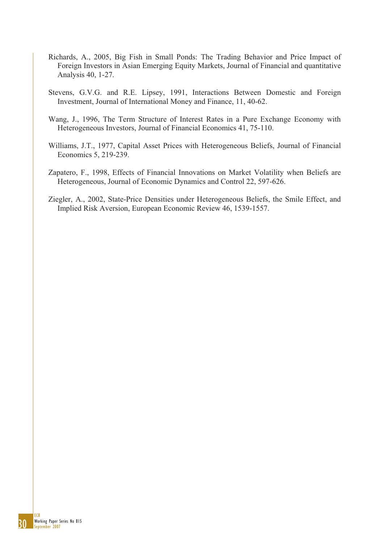- Richards, A., 2005, Big Fish in Small Ponds: The Trading Behavior and Price Impact of Foreign Investors in Asian Emerging Equity Markets, Journal of Financial and quantitative Analysis 40, 1-27.
- Stevens, G.V.G. and R.E. Lipsey, 1991, Interactions Between Domestic and Foreign Investment, Journal of International Money and Finance, 11, 40-62.
- Wang, J., 1996, The Term Structure of Interest Rates in a Pure Exchange Economy with Heterogeneous Investors, Journal of Financial Economics 41, 75-110.
- Williams, J.T., 1977, Capital Asset Prices with Heterogeneous Beliefs, Journal of Financial Economics 5, 219-239.
- Zapatero, F., 1998, Effects of Financial Innovations on Market Volatility when Beliefs are Heterogeneous, Journal of Economic Dynamics and Control 22, 597-626.
- Ziegler, A., 2002, State-Price Densities under Heterogeneous Beliefs, the Smile Effect, and Implied Risk Aversion, European Economic Review 46, 1539-1557.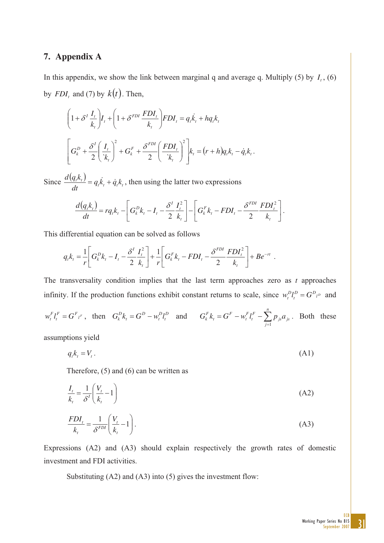### **7. Appendix A**

In this appendix, we show the link between marginal q and average q. Multiply (5) by  $I_t$ , (6) by  $FDI_t$  and (7) by  $k(t)$ . Then,

$$
\left(1+\delta^I \frac{I_t}{k_t}\right) I_t + \left(1+\delta^{FDI} \frac{FDI_t}{k_t}\right) FDI_t = q_t \dot{k}_t + hq_t k_t
$$
\n
$$
\left[G_k^D + \frac{\delta^I}{2} \left(\frac{I_t}{k_t}\right)^2 + G_k^F + \frac{\delta^{FDI}}{2} \left(\frac{FDI_t}{k_t}\right)^2\right] k_t = (r+h)q_t k_t - \dot{q}_t k_t.
$$

Since  $\frac{d(q_t k_t)}{dt} = q_t k_t + \dot{q}_t k_t$ *dt*  $\frac{d(q_ik_i)}{dt} = q_ik_i + \dot{q}_ik_i$ , then using the latter two expressions

$$
\frac{d(q_t k_t)}{dt} = r q_t k_t - \left[ G_k^D k_t - I_t - \frac{\delta^I}{2} \frac{I_t^2}{k_t} \right] - \left[ G_k^F k_t - F D I_t - \frac{\delta^{FDI}}{2} \frac{FD I_t^2}{k_t} \right].
$$

This differential equation can be solved as follows

$$
q_t k_t = \frac{1}{r} \left[ G_k^D k_t - I_t - \frac{\delta^I}{2} \frac{I_t^2}{k_t} \right] + \frac{1}{r} \left[ G_k^F k_t - F D I_t - \frac{\delta^{FDI}}{2} \frac{FD I_t^2}{k_t} \right] + B e^{-rt}.
$$

The transversality condition implies that the last term approaches zero as *t* approaches infinity. If the production functions exhibit constant returns to scale, since  $w_t^D l_t^D = G^D l^D$ *t*  $w_t^D l_t^D = G^D{}_{l^D}$  and  $F = G^F{}_{l^F}$ *t*  $w_t^F l_t^F = G^F{}_{l^F}$ , then  $G_k^D k_t = G^D - w_t^D l_t^D$ *D t D t*  $G_k^D k_t = G^D - w_t^D l_t^D$  and  $G_k^F k_t = G^F - w_t^F l_t^F - \sum_{j=1}^N w_j^F k_j^F$ *n j js js F t F t F t*  $G_k^F k_t = G^F - w_t^F l_t^F - \sum p_{js} a$ 1 . Both these

assumptions yield

$$
q_t k_t = V_t. \tag{A1}
$$

Therefore, (5) and (6) can be written as

$$
\frac{I_t}{k_t} = \frac{1}{\delta^I} \left( \frac{V_t}{k_t} - 1 \right)
$$
\n
$$
\frac{FDI_t}{k_t} = \frac{1}{\delta^{FDI}} \left( \frac{V_t}{k_t} - 1 \right).
$$
\n(A2)

Expressions (A2) and (A3) should explain respectively the growth rates of domestic investment and FDI activities.

Substituting (A2) and (A3) into (5) gives the investment flow: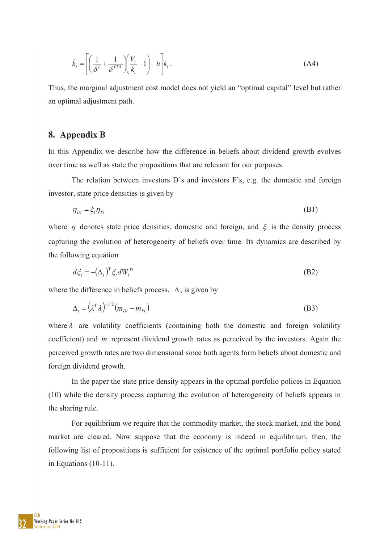$$
\dot{k}_t = \left[ \left( \frac{1}{\delta^t} + \frac{1}{\delta^{FDI}} \right) \left( \frac{V_t}{k_t} - 1 \right) - h \right] k_t.
$$
\n(A4)

Thus, the marginal adjustment cost model does not yield an "optimal capital" level but rather an optimal adjustment path.

#### **8. Appendix B**

In this Appendix we describe how the difference in beliefs about dividend growth evolves over time as well as state the propositions that are relevant for our purposes.

The relation between investors D's and investors F's, e.g. the domestic and foreign investor, state price densities is given by

$$
\eta_{Dt} = \xi_t \eta_{Ft} \tag{B1}
$$

where  $\eta$  denotes state price densities, domestic and foreign, and  $\xi$  is the density process capturing the evolution of heterogeneity of beliefs over time. Its dynamics are described by the following equation

$$
d\xi_t = -(\Delta_t)^T \xi_t dW_t^D \tag{B2}
$$

where the difference in beliefs process,  $\Delta$ , is given by

$$
\Delta_t = \left(\lambda^{\mathrm{T}}\lambda\right)^{-1/2}\left(m_{Dt} - m_{Ft}\right) \tag{B3}
$$

where  $\lambda$  are volatility coefficients (containing both the domestic and foreign volatility coefficient) and *m* represent dividend growth rates as perceived by the investors. Again the perceived growth rates are two dimensional since both agents form beliefs about domestic and foreign dividend growth.

In the paper the state price density appears in the optimal portfolio polices in Equation (10) while the density process capturing the evolution of heterogeneity of beliefs appears in the sharing rule.

For equilibrium we require that the commodity market, the stock market, and the bond market are cleared. Now suppose that the economy is indeed in equilibrium, then, the following list of propositions is sufficient for existence of the optimal portfolio policy stated in Equations (10-11).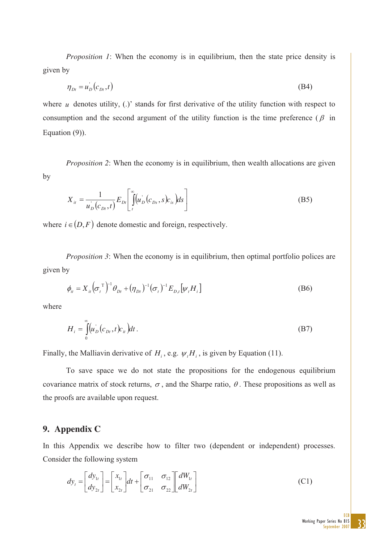*Proposition 1*: When the economy is in equilibrium, then the state price density is given by

$$
\eta_{\scriptscriptstyle D_t} = u_{\scriptscriptstyle D}^{\scriptscriptstyle \top} \left( c_{\scriptscriptstyle D_t}, t \right) \tag{B4}
$$

where  $u$  denotes utility,  $(.)'$  stands for first derivative of the utility function with respect to consumption and the second argument of the utility function is the time preference ( $\beta$  in Equation (9)).

*Proposition 2*: When the economy is in equilibrium, then wealth allocations are given by

$$
X_{it} = \frac{1}{u_D^{'}(c_{Dt}, t)} E_{Di} \left[ \int_{t}^{\infty} (u_D^{'}(c_{Ds}, s)c_{is}) ds \right]
$$
(B5)

where  $i \in (D, F)$  denote domestic and foreign, respectively.

*Proposition 3*: When the economy is in equilibrium, then optimal portfolio polices are given by

$$
\phi_{it} = X_{it} \left( \sigma_t^{\mathrm{T}} \right)^{-1} \theta_{Dt} + (\eta_{Dt})^{-1} (\sigma_t)^{-1} E_{D,t} \left[ \psi_t H_i \right] \tag{B6}
$$

where

$$
H_i = \int_0^\infty \left( u_D \left( c_{Dt}, t \right) c_{it} \right) dt \,. \tag{B7}
$$

Finally, the Malliavin derivative of  $H_i$ , e.g.  $\psi_t H_i$ , is given by Equation (11).

To save space we do not state the propositions for the endogenous equilibrium covariance matrix of stock returns,  $\sigma$ , and the Sharpe ratio,  $\theta$ . These propositions as well as the proofs are available upon request.

#### **9. Appendix C**

In this Appendix we describe how to filter two (dependent or independent) processes. Consider the following system

$$
dy_t = \begin{bmatrix} dy_{1t} \\ dy_{2t} \end{bmatrix} = \begin{bmatrix} x_{1t} \\ x_{2t} \end{bmatrix} dt + \begin{bmatrix} \sigma_{11} & \sigma_{12} \\ \sigma_{21} & \sigma_{22} \end{bmatrix} \begin{bmatrix} dW_{1t} \\ dW_{2t} \end{bmatrix}
$$
(C1)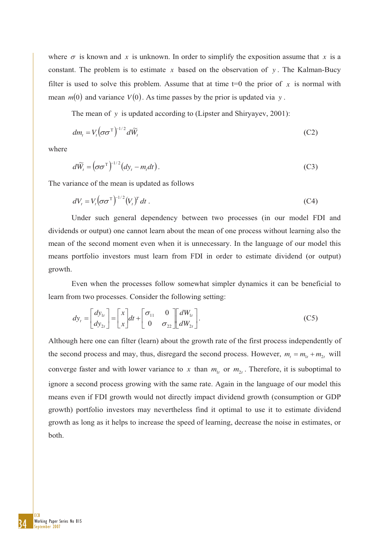where  $\sigma$  is known and *x* is unknown. In order to simplify the exposition assume that *x* is a constant. The problem is to estimate  $x$  based on the observation of  $y$ . The Kalman-Bucy filter is used to solve this problem. Assume that at time  $t=0$  the prior of x is normal with mean  $m(0)$  and variance  $V(0)$ . As time passes by the prior is updated via y.

The mean of *y* is updated according to (Lipster and Shiryayev, 2001):

$$
dm_{t} = V_{t} \left(\sigma \sigma^{T}\right)^{-1/2} d\widetilde{W}_{t}
$$
 (C2)

where

$$
d\widetilde{W}_t = \left(\sigma\sigma^{\mathrm{T}}\right)^{-1/2}\left(dy_t - m_t dt\right). \tag{C3}
$$

The variance of the mean is updated as follows

$$
dV_t = V_t \left(\sigma \sigma^{\mathrm{T}}\right)^{-1/2} \left(V_t\right)^T dt \tag{C4}
$$

Under such general dependency between two processes (in our model FDI and dividends or output) one cannot learn about the mean of one process without learning also the mean of the second moment even when it is unnecessary. In the language of our model this means portfolio investors must learn from FDI in order to estimate dividend (or output) growth.

Even when the processes follow somewhat simpler dynamics it can be beneficial to learn from two processes. Consider the following setting:

$$
dy_t = \begin{bmatrix} dy_{1t} \\ dy_{2t} \end{bmatrix} = \begin{bmatrix} x \\ x \end{bmatrix} dt + \begin{bmatrix} \sigma_{11} & 0 \\ 0 & \sigma_{22} \end{bmatrix} \begin{bmatrix} dW_{1t} \\ dW_{2t} \end{bmatrix}.
$$
 (C5)

Although here one can filter (learn) about the growth rate of the first process independently of the second process and may, thus, disregard the second process. However,  $m_t = m_{1t} + m_{2t}$  will converge faster and with lower variance to x than  $m_{1t}$  or  $m_{2t}$ . Therefore, it is suboptimal to ignore a second process growing with the same rate. Again in the language of our model this means even if FDI growth would not directly impact dividend growth (consumption or GDP growth) portfolio investors may nevertheless find it optimal to use it to estimate dividend growth as long as it helps to increase the speed of learning, decrease the noise in estimates, or both.

34 ECB Working Paper Series No 815 eptember 2007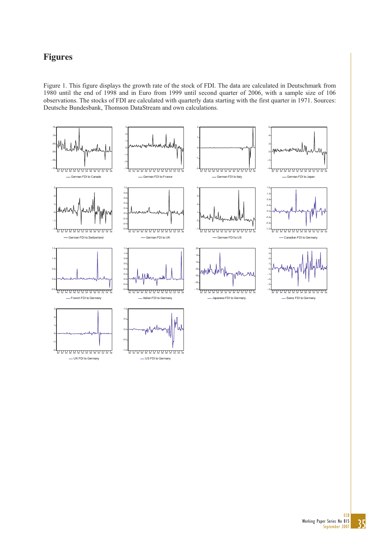### **Figures**

Figure 1. This figure displays the growth rate of the stock of FDI. The data are calculated in Deutschmark from 1980 until the end of 1998 and in Euro from 1999 until second quarter of 2006, with a sample size of 106 observations. The stocks of FDI are calculated with quarterly data starting with the first quarter in 1971. Sources: Deutsche Bundesbank, Thomson DataStream and own calculations.



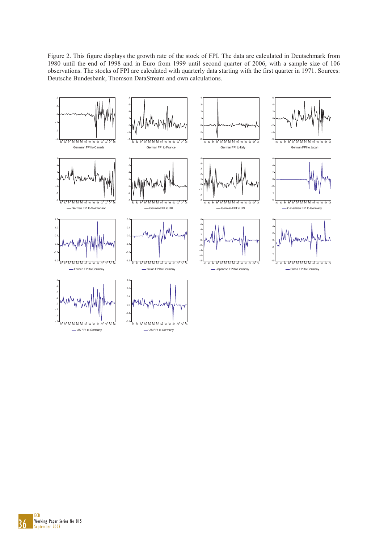Figure 2. This figure displays the growth rate of the stock of FPI. The data are calculated in Deutschmark from 1980 until the end of 1998 and in Euro from 1999 until second quarter of 2006, with a sample size of 106 observations. The stocks of FPI are calculated with quarterly data starting with the first quarter in 1971. Sources: Deutsche Bundesbank, Thomson DataStream and own calculations.

4



80 82 84 86 88 90 92 94 96 98 00 02 04 06 German FPI to Switzerland

-.6 -.4 -.2





- UK FPI to Germany





German FPI to UK



- Italian FPI to Germany

1.2







German FPI to US





-.6 -.4 -.2 .0 .2 .4 .6 80 82 84 86 88 90 92 94 96 98 00 02 04 06 Canadaian FPI to Germany



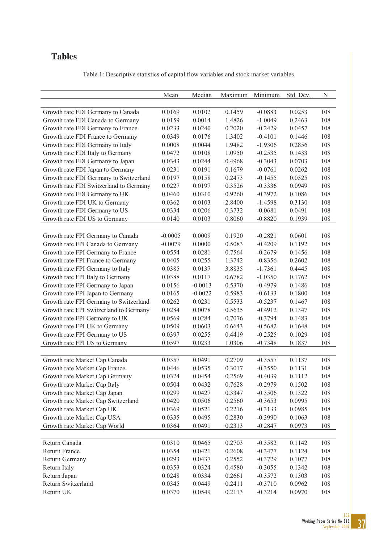### **Tables**

| Table 1: Descriptive statistics of capital flow variables and stock market variables |  |  |  |
|--------------------------------------------------------------------------------------|--|--|--|
|--------------------------------------------------------------------------------------|--|--|--|

| 0.0102<br>0.1459<br>108<br>Growth rate FDI Germany to Canada<br>0.0169<br>$-0.0883$<br>0.0253<br>0.0014<br>108<br>Growth rate FDI Canada to Germany<br>0.0159<br>1.4826<br>$-1.0049$<br>0.2463<br>108<br>Growth rate FDI Germany to France<br>0.0233<br>0.0240<br>0.2020<br>$-0.2429$<br>0.0457<br>0.0176<br>1.3402<br>0.1446<br>108<br>Growth rate FDI France to Germany<br>0.0349<br>$-0.4101$<br>108<br>Growth rate FDI Germany to Italy<br>0.0008<br>0.0044<br>1.9482<br>0.2856<br>$-1.9306$<br>108<br>Growth rate FDI Italy to Germany<br>0.0472<br>0.0108<br>1.0950<br>0.1433<br>$-0.2535$<br>Growth rate FDI Germany to Japan<br>0.0244<br>0.4968<br>$-0.3043$<br>108<br>0.0343<br>0.0703<br>Growth rate FDI Japan to Germany<br>0.0231<br>108<br>0.0191<br>0.1679<br>$-0.0761$<br>0.0262<br>Growth rate FDI Germany to Switzerland<br>0.0158<br>0.2473<br>$-0.1455$<br>108<br>0.0197<br>0.0525<br>Growth rate FDI Switzerland to Germany<br>0.0197<br>0.3526<br>$-0.3336$<br>0.0949<br>108<br>0.0227<br>0.9260<br>108<br>Growth rate FDI Germany to UK<br>0.0460<br>0.0310<br>$-0.3972$<br>0.1086<br>Growth rate FDI UK to Germany<br>2.8400<br>108<br>0.0362<br>0.0103<br>$-1.4598$<br>0.3130<br>Growth rate FDI Germany to US<br>0.0206<br>0.3732<br>108<br>0.0334<br>$-0.0681$<br>0.0491<br>Growth rate FDI US to Germany<br>0.0103<br>0.8060<br>108<br>0.0140<br>$-0.8820$<br>0.1939<br>Growth rate FPI Germany to Canada<br>$-0.0005$<br>0.0009<br>0.1920<br>$-0.2821$<br>0.0601<br>108<br>Growth rate FPI Canada to Germany<br>0.0000<br>0.5083<br>$-0.4209$<br>108<br>$-0.0079$<br>0.1192<br>Growth rate FPI Germany to France<br>108<br>0.0554<br>0.0281<br>0.7564<br>$-0.2679$<br>0.1456<br>Growth rate FPI France to Germany<br>0.0255<br>0.2602<br>108<br>0.0405<br>1.3742<br>$-0.8356$<br>108<br>Growth rate FPI Germany to Italy<br>0.0137<br>3.8835<br>$-1.7361$<br>0.0385<br>0.4445<br>Growth rate FPI Italy to Germany<br>0.0388<br>0.0117<br>0.6782<br>$-1.0350$<br>0.1762<br>108<br>Growth rate FPI Germany to Japan<br>$-0.0013$<br>0.5370<br>0.1486<br>108<br>0.0156<br>$-0.4979$<br>Growth rate FPI Japan to Germany<br>0.0165<br>$-0.0022$<br>0.5983<br>108<br>$-0.6133$<br>0.1800<br>Growth rate FPI Germany to Switzerland<br>0.5533<br>108<br>0.0262<br>0.0231<br>$-0.5237$<br>0.1467<br>Growth rate FPI Switzerland to Germany<br>0.5635<br>108<br>0.0284<br>0.0078<br>$-0.4912$<br>0.1347<br>0.7076<br>108<br>Growth rate FPI Germany to UK<br>0.0569<br>0.0284<br>$-0.3794$<br>0.1483<br>Growth rate FPI UK to Germany<br>0.0603<br>0.6643<br>$-0.5682$<br>0.1648<br>108<br>0.0509<br>Growth rate FPI Germany to US<br>0.0255<br>0.4419<br>108<br>0.0397<br>$-0.2525$<br>0.1029<br>Growth rate FPI US to Germany<br>0.0233<br>108<br>0.0597<br>1.0306<br>$-0.7348$<br>0.1837<br>Growth rate Market Cap Canada<br>0.0357<br>0.0491<br>0.2709<br>$-0.3557$<br>0.1137<br>108<br>Growth rate Market Cap France<br>0.0535<br>0.3017<br>108<br>0.0446<br>$-0.3550$<br>0.1131<br>Growth rate Market Cap Germany<br>0.0324<br>0.0454<br>0.2569<br>$-0.4039$<br>108<br>0.1112<br>Growth rate Market Cap Italy<br>0.0504<br>0.7628<br>$-0.2979$<br>108<br>0.0432<br>0.1502<br>Growth rate Market Cap Japan<br>108<br>0.0299<br>0.0427<br>0.3347<br>$-0.3506$<br>0.1322<br>Growth rate Market Cap Switzerland<br>0.0420<br>0.0506<br>0.2560<br>$-0.3653$<br>0.0995<br>108<br>Growth rate Market Cap UK<br>0.0369<br>0.0521<br>0.2216<br>$-0.3133$<br>0.0985<br>108<br>Growth rate Market Cap USA<br>0.0335<br>108<br>0.0495<br>0.2830<br>$-0.3990$<br>0.1063<br>Growth rate Market Cap World<br>0.0364<br>0.0491<br>0.2313<br>$-0.2847$<br>0.0973<br>108 | Mean | Median | Maximum | Minimum | Std. Dev. | ${\bf N}$ |
|-----------------------------------------------------------------------------------------------------------------------------------------------------------------------------------------------------------------------------------------------------------------------------------------------------------------------------------------------------------------------------------------------------------------------------------------------------------------------------------------------------------------------------------------------------------------------------------------------------------------------------------------------------------------------------------------------------------------------------------------------------------------------------------------------------------------------------------------------------------------------------------------------------------------------------------------------------------------------------------------------------------------------------------------------------------------------------------------------------------------------------------------------------------------------------------------------------------------------------------------------------------------------------------------------------------------------------------------------------------------------------------------------------------------------------------------------------------------------------------------------------------------------------------------------------------------------------------------------------------------------------------------------------------------------------------------------------------------------------------------------------------------------------------------------------------------------------------------------------------------------------------------------------------------------------------------------------------------------------------------------------------------------------------------------------------------------------------------------------------------------------------------------------------------------------------------------------------------------------------------------------------------------------------------------------------------------------------------------------------------------------------------------------------------------------------------------------------------------------------------------------------------------------------------------------------------------------------------------------------------------------------------------------------------------------------------------------------------------------------------------------------------------------------------------------------------------------------------------------------------------------------------------------------------------------------------------------------------------------------------------------------------------------------------------------------------------------------------------------------------------------------------------------------------------------------------------------------------------------------------------------------------------------------------------------------------------------------------------------------------------------------------------------------------------------------------------------------------------------------------------------------------------------------------------------------------------------------------------------------------------------------------------------------------------------------|------|--------|---------|---------|-----------|-----------|
|                                                                                                                                                                                                                                                                                                                                                                                                                                                                                                                                                                                                                                                                                                                                                                                                                                                                                                                                                                                                                                                                                                                                                                                                                                                                                                                                                                                                                                                                                                                                                                                                                                                                                                                                                                                                                                                                                                                                                                                                                                                                                                                                                                                                                                                                                                                                                                                                                                                                                                                                                                                                                                                                                                                                                                                                                                                                                                                                                                                                                                                                                                                                                                                                                                                                                                                                                                                                                                                                                                                                                                                                                                                                                   |      |        |         |         |           |           |
|                                                                                                                                                                                                                                                                                                                                                                                                                                                                                                                                                                                                                                                                                                                                                                                                                                                                                                                                                                                                                                                                                                                                                                                                                                                                                                                                                                                                                                                                                                                                                                                                                                                                                                                                                                                                                                                                                                                                                                                                                                                                                                                                                                                                                                                                                                                                                                                                                                                                                                                                                                                                                                                                                                                                                                                                                                                                                                                                                                                                                                                                                                                                                                                                                                                                                                                                                                                                                                                                                                                                                                                                                                                                                   |      |        |         |         |           |           |
|                                                                                                                                                                                                                                                                                                                                                                                                                                                                                                                                                                                                                                                                                                                                                                                                                                                                                                                                                                                                                                                                                                                                                                                                                                                                                                                                                                                                                                                                                                                                                                                                                                                                                                                                                                                                                                                                                                                                                                                                                                                                                                                                                                                                                                                                                                                                                                                                                                                                                                                                                                                                                                                                                                                                                                                                                                                                                                                                                                                                                                                                                                                                                                                                                                                                                                                                                                                                                                                                                                                                                                                                                                                                                   |      |        |         |         |           |           |
|                                                                                                                                                                                                                                                                                                                                                                                                                                                                                                                                                                                                                                                                                                                                                                                                                                                                                                                                                                                                                                                                                                                                                                                                                                                                                                                                                                                                                                                                                                                                                                                                                                                                                                                                                                                                                                                                                                                                                                                                                                                                                                                                                                                                                                                                                                                                                                                                                                                                                                                                                                                                                                                                                                                                                                                                                                                                                                                                                                                                                                                                                                                                                                                                                                                                                                                                                                                                                                                                                                                                                                                                                                                                                   |      |        |         |         |           |           |
|                                                                                                                                                                                                                                                                                                                                                                                                                                                                                                                                                                                                                                                                                                                                                                                                                                                                                                                                                                                                                                                                                                                                                                                                                                                                                                                                                                                                                                                                                                                                                                                                                                                                                                                                                                                                                                                                                                                                                                                                                                                                                                                                                                                                                                                                                                                                                                                                                                                                                                                                                                                                                                                                                                                                                                                                                                                                                                                                                                                                                                                                                                                                                                                                                                                                                                                                                                                                                                                                                                                                                                                                                                                                                   |      |        |         |         |           |           |
|                                                                                                                                                                                                                                                                                                                                                                                                                                                                                                                                                                                                                                                                                                                                                                                                                                                                                                                                                                                                                                                                                                                                                                                                                                                                                                                                                                                                                                                                                                                                                                                                                                                                                                                                                                                                                                                                                                                                                                                                                                                                                                                                                                                                                                                                                                                                                                                                                                                                                                                                                                                                                                                                                                                                                                                                                                                                                                                                                                                                                                                                                                                                                                                                                                                                                                                                                                                                                                                                                                                                                                                                                                                                                   |      |        |         |         |           |           |
|                                                                                                                                                                                                                                                                                                                                                                                                                                                                                                                                                                                                                                                                                                                                                                                                                                                                                                                                                                                                                                                                                                                                                                                                                                                                                                                                                                                                                                                                                                                                                                                                                                                                                                                                                                                                                                                                                                                                                                                                                                                                                                                                                                                                                                                                                                                                                                                                                                                                                                                                                                                                                                                                                                                                                                                                                                                                                                                                                                                                                                                                                                                                                                                                                                                                                                                                                                                                                                                                                                                                                                                                                                                                                   |      |        |         |         |           |           |
|                                                                                                                                                                                                                                                                                                                                                                                                                                                                                                                                                                                                                                                                                                                                                                                                                                                                                                                                                                                                                                                                                                                                                                                                                                                                                                                                                                                                                                                                                                                                                                                                                                                                                                                                                                                                                                                                                                                                                                                                                                                                                                                                                                                                                                                                                                                                                                                                                                                                                                                                                                                                                                                                                                                                                                                                                                                                                                                                                                                                                                                                                                                                                                                                                                                                                                                                                                                                                                                                                                                                                                                                                                                                                   |      |        |         |         |           |           |
|                                                                                                                                                                                                                                                                                                                                                                                                                                                                                                                                                                                                                                                                                                                                                                                                                                                                                                                                                                                                                                                                                                                                                                                                                                                                                                                                                                                                                                                                                                                                                                                                                                                                                                                                                                                                                                                                                                                                                                                                                                                                                                                                                                                                                                                                                                                                                                                                                                                                                                                                                                                                                                                                                                                                                                                                                                                                                                                                                                                                                                                                                                                                                                                                                                                                                                                                                                                                                                                                                                                                                                                                                                                                                   |      |        |         |         |           |           |
|                                                                                                                                                                                                                                                                                                                                                                                                                                                                                                                                                                                                                                                                                                                                                                                                                                                                                                                                                                                                                                                                                                                                                                                                                                                                                                                                                                                                                                                                                                                                                                                                                                                                                                                                                                                                                                                                                                                                                                                                                                                                                                                                                                                                                                                                                                                                                                                                                                                                                                                                                                                                                                                                                                                                                                                                                                                                                                                                                                                                                                                                                                                                                                                                                                                                                                                                                                                                                                                                                                                                                                                                                                                                                   |      |        |         |         |           |           |
|                                                                                                                                                                                                                                                                                                                                                                                                                                                                                                                                                                                                                                                                                                                                                                                                                                                                                                                                                                                                                                                                                                                                                                                                                                                                                                                                                                                                                                                                                                                                                                                                                                                                                                                                                                                                                                                                                                                                                                                                                                                                                                                                                                                                                                                                                                                                                                                                                                                                                                                                                                                                                                                                                                                                                                                                                                                                                                                                                                                                                                                                                                                                                                                                                                                                                                                                                                                                                                                                                                                                                                                                                                                                                   |      |        |         |         |           |           |
|                                                                                                                                                                                                                                                                                                                                                                                                                                                                                                                                                                                                                                                                                                                                                                                                                                                                                                                                                                                                                                                                                                                                                                                                                                                                                                                                                                                                                                                                                                                                                                                                                                                                                                                                                                                                                                                                                                                                                                                                                                                                                                                                                                                                                                                                                                                                                                                                                                                                                                                                                                                                                                                                                                                                                                                                                                                                                                                                                                                                                                                                                                                                                                                                                                                                                                                                                                                                                                                                                                                                                                                                                                                                                   |      |        |         |         |           |           |
|                                                                                                                                                                                                                                                                                                                                                                                                                                                                                                                                                                                                                                                                                                                                                                                                                                                                                                                                                                                                                                                                                                                                                                                                                                                                                                                                                                                                                                                                                                                                                                                                                                                                                                                                                                                                                                                                                                                                                                                                                                                                                                                                                                                                                                                                                                                                                                                                                                                                                                                                                                                                                                                                                                                                                                                                                                                                                                                                                                                                                                                                                                                                                                                                                                                                                                                                                                                                                                                                                                                                                                                                                                                                                   |      |        |         |         |           |           |
|                                                                                                                                                                                                                                                                                                                                                                                                                                                                                                                                                                                                                                                                                                                                                                                                                                                                                                                                                                                                                                                                                                                                                                                                                                                                                                                                                                                                                                                                                                                                                                                                                                                                                                                                                                                                                                                                                                                                                                                                                                                                                                                                                                                                                                                                                                                                                                                                                                                                                                                                                                                                                                                                                                                                                                                                                                                                                                                                                                                                                                                                                                                                                                                                                                                                                                                                                                                                                                                                                                                                                                                                                                                                                   |      |        |         |         |           |           |
|                                                                                                                                                                                                                                                                                                                                                                                                                                                                                                                                                                                                                                                                                                                                                                                                                                                                                                                                                                                                                                                                                                                                                                                                                                                                                                                                                                                                                                                                                                                                                                                                                                                                                                                                                                                                                                                                                                                                                                                                                                                                                                                                                                                                                                                                                                                                                                                                                                                                                                                                                                                                                                                                                                                                                                                                                                                                                                                                                                                                                                                                                                                                                                                                                                                                                                                                                                                                                                                                                                                                                                                                                                                                                   |      |        |         |         |           |           |
|                                                                                                                                                                                                                                                                                                                                                                                                                                                                                                                                                                                                                                                                                                                                                                                                                                                                                                                                                                                                                                                                                                                                                                                                                                                                                                                                                                                                                                                                                                                                                                                                                                                                                                                                                                                                                                                                                                                                                                                                                                                                                                                                                                                                                                                                                                                                                                                                                                                                                                                                                                                                                                                                                                                                                                                                                                                                                                                                                                                                                                                                                                                                                                                                                                                                                                                                                                                                                                                                                                                                                                                                                                                                                   |      |        |         |         |           |           |
|                                                                                                                                                                                                                                                                                                                                                                                                                                                                                                                                                                                                                                                                                                                                                                                                                                                                                                                                                                                                                                                                                                                                                                                                                                                                                                                                                                                                                                                                                                                                                                                                                                                                                                                                                                                                                                                                                                                                                                                                                                                                                                                                                                                                                                                                                                                                                                                                                                                                                                                                                                                                                                                                                                                                                                                                                                                                                                                                                                                                                                                                                                                                                                                                                                                                                                                                                                                                                                                                                                                                                                                                                                                                                   |      |        |         |         |           |           |
|                                                                                                                                                                                                                                                                                                                                                                                                                                                                                                                                                                                                                                                                                                                                                                                                                                                                                                                                                                                                                                                                                                                                                                                                                                                                                                                                                                                                                                                                                                                                                                                                                                                                                                                                                                                                                                                                                                                                                                                                                                                                                                                                                                                                                                                                                                                                                                                                                                                                                                                                                                                                                                                                                                                                                                                                                                                                                                                                                                                                                                                                                                                                                                                                                                                                                                                                                                                                                                                                                                                                                                                                                                                                                   |      |        |         |         |           |           |
|                                                                                                                                                                                                                                                                                                                                                                                                                                                                                                                                                                                                                                                                                                                                                                                                                                                                                                                                                                                                                                                                                                                                                                                                                                                                                                                                                                                                                                                                                                                                                                                                                                                                                                                                                                                                                                                                                                                                                                                                                                                                                                                                                                                                                                                                                                                                                                                                                                                                                                                                                                                                                                                                                                                                                                                                                                                                                                                                                                                                                                                                                                                                                                                                                                                                                                                                                                                                                                                                                                                                                                                                                                                                                   |      |        |         |         |           |           |
|                                                                                                                                                                                                                                                                                                                                                                                                                                                                                                                                                                                                                                                                                                                                                                                                                                                                                                                                                                                                                                                                                                                                                                                                                                                                                                                                                                                                                                                                                                                                                                                                                                                                                                                                                                                                                                                                                                                                                                                                                                                                                                                                                                                                                                                                                                                                                                                                                                                                                                                                                                                                                                                                                                                                                                                                                                                                                                                                                                                                                                                                                                                                                                                                                                                                                                                                                                                                                                                                                                                                                                                                                                                                                   |      |        |         |         |           |           |
|                                                                                                                                                                                                                                                                                                                                                                                                                                                                                                                                                                                                                                                                                                                                                                                                                                                                                                                                                                                                                                                                                                                                                                                                                                                                                                                                                                                                                                                                                                                                                                                                                                                                                                                                                                                                                                                                                                                                                                                                                                                                                                                                                                                                                                                                                                                                                                                                                                                                                                                                                                                                                                                                                                                                                                                                                                                                                                                                                                                                                                                                                                                                                                                                                                                                                                                                                                                                                                                                                                                                                                                                                                                                                   |      |        |         |         |           |           |
|                                                                                                                                                                                                                                                                                                                                                                                                                                                                                                                                                                                                                                                                                                                                                                                                                                                                                                                                                                                                                                                                                                                                                                                                                                                                                                                                                                                                                                                                                                                                                                                                                                                                                                                                                                                                                                                                                                                                                                                                                                                                                                                                                                                                                                                                                                                                                                                                                                                                                                                                                                                                                                                                                                                                                                                                                                                                                                                                                                                                                                                                                                                                                                                                                                                                                                                                                                                                                                                                                                                                                                                                                                                                                   |      |        |         |         |           |           |
|                                                                                                                                                                                                                                                                                                                                                                                                                                                                                                                                                                                                                                                                                                                                                                                                                                                                                                                                                                                                                                                                                                                                                                                                                                                                                                                                                                                                                                                                                                                                                                                                                                                                                                                                                                                                                                                                                                                                                                                                                                                                                                                                                                                                                                                                                                                                                                                                                                                                                                                                                                                                                                                                                                                                                                                                                                                                                                                                                                                                                                                                                                                                                                                                                                                                                                                                                                                                                                                                                                                                                                                                                                                                                   |      |        |         |         |           |           |
|                                                                                                                                                                                                                                                                                                                                                                                                                                                                                                                                                                                                                                                                                                                                                                                                                                                                                                                                                                                                                                                                                                                                                                                                                                                                                                                                                                                                                                                                                                                                                                                                                                                                                                                                                                                                                                                                                                                                                                                                                                                                                                                                                                                                                                                                                                                                                                                                                                                                                                                                                                                                                                                                                                                                                                                                                                                                                                                                                                                                                                                                                                                                                                                                                                                                                                                                                                                                                                                                                                                                                                                                                                                                                   |      |        |         |         |           |           |
|                                                                                                                                                                                                                                                                                                                                                                                                                                                                                                                                                                                                                                                                                                                                                                                                                                                                                                                                                                                                                                                                                                                                                                                                                                                                                                                                                                                                                                                                                                                                                                                                                                                                                                                                                                                                                                                                                                                                                                                                                                                                                                                                                                                                                                                                                                                                                                                                                                                                                                                                                                                                                                                                                                                                                                                                                                                                                                                                                                                                                                                                                                                                                                                                                                                                                                                                                                                                                                                                                                                                                                                                                                                                                   |      |        |         |         |           |           |
|                                                                                                                                                                                                                                                                                                                                                                                                                                                                                                                                                                                                                                                                                                                                                                                                                                                                                                                                                                                                                                                                                                                                                                                                                                                                                                                                                                                                                                                                                                                                                                                                                                                                                                                                                                                                                                                                                                                                                                                                                                                                                                                                                                                                                                                                                                                                                                                                                                                                                                                                                                                                                                                                                                                                                                                                                                                                                                                                                                                                                                                                                                                                                                                                                                                                                                                                                                                                                                                                                                                                                                                                                                                                                   |      |        |         |         |           |           |
|                                                                                                                                                                                                                                                                                                                                                                                                                                                                                                                                                                                                                                                                                                                                                                                                                                                                                                                                                                                                                                                                                                                                                                                                                                                                                                                                                                                                                                                                                                                                                                                                                                                                                                                                                                                                                                                                                                                                                                                                                                                                                                                                                                                                                                                                                                                                                                                                                                                                                                                                                                                                                                                                                                                                                                                                                                                                                                                                                                                                                                                                                                                                                                                                                                                                                                                                                                                                                                                                                                                                                                                                                                                                                   |      |        |         |         |           |           |
|                                                                                                                                                                                                                                                                                                                                                                                                                                                                                                                                                                                                                                                                                                                                                                                                                                                                                                                                                                                                                                                                                                                                                                                                                                                                                                                                                                                                                                                                                                                                                                                                                                                                                                                                                                                                                                                                                                                                                                                                                                                                                                                                                                                                                                                                                                                                                                                                                                                                                                                                                                                                                                                                                                                                                                                                                                                                                                                                                                                                                                                                                                                                                                                                                                                                                                                                                                                                                                                                                                                                                                                                                                                                                   |      |        |         |         |           |           |
|                                                                                                                                                                                                                                                                                                                                                                                                                                                                                                                                                                                                                                                                                                                                                                                                                                                                                                                                                                                                                                                                                                                                                                                                                                                                                                                                                                                                                                                                                                                                                                                                                                                                                                                                                                                                                                                                                                                                                                                                                                                                                                                                                                                                                                                                                                                                                                                                                                                                                                                                                                                                                                                                                                                                                                                                                                                                                                                                                                                                                                                                                                                                                                                                                                                                                                                                                                                                                                                                                                                                                                                                                                                                                   |      |        |         |         |           |           |
|                                                                                                                                                                                                                                                                                                                                                                                                                                                                                                                                                                                                                                                                                                                                                                                                                                                                                                                                                                                                                                                                                                                                                                                                                                                                                                                                                                                                                                                                                                                                                                                                                                                                                                                                                                                                                                                                                                                                                                                                                                                                                                                                                                                                                                                                                                                                                                                                                                                                                                                                                                                                                                                                                                                                                                                                                                                                                                                                                                                                                                                                                                                                                                                                                                                                                                                                                                                                                                                                                                                                                                                                                                                                                   |      |        |         |         |           |           |
|                                                                                                                                                                                                                                                                                                                                                                                                                                                                                                                                                                                                                                                                                                                                                                                                                                                                                                                                                                                                                                                                                                                                                                                                                                                                                                                                                                                                                                                                                                                                                                                                                                                                                                                                                                                                                                                                                                                                                                                                                                                                                                                                                                                                                                                                                                                                                                                                                                                                                                                                                                                                                                                                                                                                                                                                                                                                                                                                                                                                                                                                                                                                                                                                                                                                                                                                                                                                                                                                                                                                                                                                                                                                                   |      |        |         |         |           |           |
|                                                                                                                                                                                                                                                                                                                                                                                                                                                                                                                                                                                                                                                                                                                                                                                                                                                                                                                                                                                                                                                                                                                                                                                                                                                                                                                                                                                                                                                                                                                                                                                                                                                                                                                                                                                                                                                                                                                                                                                                                                                                                                                                                                                                                                                                                                                                                                                                                                                                                                                                                                                                                                                                                                                                                                                                                                                                                                                                                                                                                                                                                                                                                                                                                                                                                                                                                                                                                                                                                                                                                                                                                                                                                   |      |        |         |         |           |           |
|                                                                                                                                                                                                                                                                                                                                                                                                                                                                                                                                                                                                                                                                                                                                                                                                                                                                                                                                                                                                                                                                                                                                                                                                                                                                                                                                                                                                                                                                                                                                                                                                                                                                                                                                                                                                                                                                                                                                                                                                                                                                                                                                                                                                                                                                                                                                                                                                                                                                                                                                                                                                                                                                                                                                                                                                                                                                                                                                                                                                                                                                                                                                                                                                                                                                                                                                                                                                                                                                                                                                                                                                                                                                                   |      |        |         |         |           |           |
|                                                                                                                                                                                                                                                                                                                                                                                                                                                                                                                                                                                                                                                                                                                                                                                                                                                                                                                                                                                                                                                                                                                                                                                                                                                                                                                                                                                                                                                                                                                                                                                                                                                                                                                                                                                                                                                                                                                                                                                                                                                                                                                                                                                                                                                                                                                                                                                                                                                                                                                                                                                                                                                                                                                                                                                                                                                                                                                                                                                                                                                                                                                                                                                                                                                                                                                                                                                                                                                                                                                                                                                                                                                                                   |      |        |         |         |           |           |
|                                                                                                                                                                                                                                                                                                                                                                                                                                                                                                                                                                                                                                                                                                                                                                                                                                                                                                                                                                                                                                                                                                                                                                                                                                                                                                                                                                                                                                                                                                                                                                                                                                                                                                                                                                                                                                                                                                                                                                                                                                                                                                                                                                                                                                                                                                                                                                                                                                                                                                                                                                                                                                                                                                                                                                                                                                                                                                                                                                                                                                                                                                                                                                                                                                                                                                                                                                                                                                                                                                                                                                                                                                                                                   |      |        |         |         |           |           |
|                                                                                                                                                                                                                                                                                                                                                                                                                                                                                                                                                                                                                                                                                                                                                                                                                                                                                                                                                                                                                                                                                                                                                                                                                                                                                                                                                                                                                                                                                                                                                                                                                                                                                                                                                                                                                                                                                                                                                                                                                                                                                                                                                                                                                                                                                                                                                                                                                                                                                                                                                                                                                                                                                                                                                                                                                                                                                                                                                                                                                                                                                                                                                                                                                                                                                                                                                                                                                                                                                                                                                                                                                                                                                   |      |        |         |         |           |           |
|                                                                                                                                                                                                                                                                                                                                                                                                                                                                                                                                                                                                                                                                                                                                                                                                                                                                                                                                                                                                                                                                                                                                                                                                                                                                                                                                                                                                                                                                                                                                                                                                                                                                                                                                                                                                                                                                                                                                                                                                                                                                                                                                                                                                                                                                                                                                                                                                                                                                                                                                                                                                                                                                                                                                                                                                                                                                                                                                                                                                                                                                                                                                                                                                                                                                                                                                                                                                                                                                                                                                                                                                                                                                                   |      |        |         |         |           |           |
|                                                                                                                                                                                                                                                                                                                                                                                                                                                                                                                                                                                                                                                                                                                                                                                                                                                                                                                                                                                                                                                                                                                                                                                                                                                                                                                                                                                                                                                                                                                                                                                                                                                                                                                                                                                                                                                                                                                                                                                                                                                                                                                                                                                                                                                                                                                                                                                                                                                                                                                                                                                                                                                                                                                                                                                                                                                                                                                                                                                                                                                                                                                                                                                                                                                                                                                                                                                                                                                                                                                                                                                                                                                                                   |      |        |         |         |           |           |
|                                                                                                                                                                                                                                                                                                                                                                                                                                                                                                                                                                                                                                                                                                                                                                                                                                                                                                                                                                                                                                                                                                                                                                                                                                                                                                                                                                                                                                                                                                                                                                                                                                                                                                                                                                                                                                                                                                                                                                                                                                                                                                                                                                                                                                                                                                                                                                                                                                                                                                                                                                                                                                                                                                                                                                                                                                                                                                                                                                                                                                                                                                                                                                                                                                                                                                                                                                                                                                                                                                                                                                                                                                                                                   |      |        |         |         |           |           |
|                                                                                                                                                                                                                                                                                                                                                                                                                                                                                                                                                                                                                                                                                                                                                                                                                                                                                                                                                                                                                                                                                                                                                                                                                                                                                                                                                                                                                                                                                                                                                                                                                                                                                                                                                                                                                                                                                                                                                                                                                                                                                                                                                                                                                                                                                                                                                                                                                                                                                                                                                                                                                                                                                                                                                                                                                                                                                                                                                                                                                                                                                                                                                                                                                                                                                                                                                                                                                                                                                                                                                                                                                                                                                   |      |        |         |         |           |           |
|                                                                                                                                                                                                                                                                                                                                                                                                                                                                                                                                                                                                                                                                                                                                                                                                                                                                                                                                                                                                                                                                                                                                                                                                                                                                                                                                                                                                                                                                                                                                                                                                                                                                                                                                                                                                                                                                                                                                                                                                                                                                                                                                                                                                                                                                                                                                                                                                                                                                                                                                                                                                                                                                                                                                                                                                                                                                                                                                                                                                                                                                                                                                                                                                                                                                                                                                                                                                                                                                                                                                                                                                                                                                                   |      |        |         |         |           |           |
| Return Canada<br>0.0310<br>0.0465<br>0.2703<br>$-0.3582$<br>0.1142<br>108                                                                                                                                                                                                                                                                                                                                                                                                                                                                                                                                                                                                                                                                                                                                                                                                                                                                                                                                                                                                                                                                                                                                                                                                                                                                                                                                                                                                                                                                                                                                                                                                                                                                                                                                                                                                                                                                                                                                                                                                                                                                                                                                                                                                                                                                                                                                                                                                                                                                                                                                                                                                                                                                                                                                                                                                                                                                                                                                                                                                                                                                                                                                                                                                                                                                                                                                                                                                                                                                                                                                                                                                         |      |        |         |         |           |           |
| <b>Return France</b><br>0.0354<br>0.0421<br>108<br>0.2608<br>$-0.3477$<br>0.1124                                                                                                                                                                                                                                                                                                                                                                                                                                                                                                                                                                                                                                                                                                                                                                                                                                                                                                                                                                                                                                                                                                                                                                                                                                                                                                                                                                                                                                                                                                                                                                                                                                                                                                                                                                                                                                                                                                                                                                                                                                                                                                                                                                                                                                                                                                                                                                                                                                                                                                                                                                                                                                                                                                                                                                                                                                                                                                                                                                                                                                                                                                                                                                                                                                                                                                                                                                                                                                                                                                                                                                                                  |      |        |         |         |           |           |
| <b>Return Germany</b><br>0.0293<br>0.0437<br>0.2552<br>$-0.3729$<br>108<br>0.1077                                                                                                                                                                                                                                                                                                                                                                                                                                                                                                                                                                                                                                                                                                                                                                                                                                                                                                                                                                                                                                                                                                                                                                                                                                                                                                                                                                                                                                                                                                                                                                                                                                                                                                                                                                                                                                                                                                                                                                                                                                                                                                                                                                                                                                                                                                                                                                                                                                                                                                                                                                                                                                                                                                                                                                                                                                                                                                                                                                                                                                                                                                                                                                                                                                                                                                                                                                                                                                                                                                                                                                                                 |      |        |         |         |           |           |
| Return Italy<br>0.0353<br>0.0324<br>0.4580<br>$-0.3055$<br>0.1342<br>108                                                                                                                                                                                                                                                                                                                                                                                                                                                                                                                                                                                                                                                                                                                                                                                                                                                                                                                                                                                                                                                                                                                                                                                                                                                                                                                                                                                                                                                                                                                                                                                                                                                                                                                                                                                                                                                                                                                                                                                                                                                                                                                                                                                                                                                                                                                                                                                                                                                                                                                                                                                                                                                                                                                                                                                                                                                                                                                                                                                                                                                                                                                                                                                                                                                                                                                                                                                                                                                                                                                                                                                                          |      |        |         |         |           |           |
| Return Japan<br>0.0248<br>0.0334<br>0.2661<br>$-0.3572$<br>0.1303<br>108                                                                                                                                                                                                                                                                                                                                                                                                                                                                                                                                                                                                                                                                                                                                                                                                                                                                                                                                                                                                                                                                                                                                                                                                                                                                                                                                                                                                                                                                                                                                                                                                                                                                                                                                                                                                                                                                                                                                                                                                                                                                                                                                                                                                                                                                                                                                                                                                                                                                                                                                                                                                                                                                                                                                                                                                                                                                                                                                                                                                                                                                                                                                                                                                                                                                                                                                                                                                                                                                                                                                                                                                          |      |        |         |         |           |           |
| Return Switzerland<br>0.0345<br>0.0449<br>0.2411<br>$-0.3710$<br>0.0962<br>108                                                                                                                                                                                                                                                                                                                                                                                                                                                                                                                                                                                                                                                                                                                                                                                                                                                                                                                                                                                                                                                                                                                                                                                                                                                                                                                                                                                                                                                                                                                                                                                                                                                                                                                                                                                                                                                                                                                                                                                                                                                                                                                                                                                                                                                                                                                                                                                                                                                                                                                                                                                                                                                                                                                                                                                                                                                                                                                                                                                                                                                                                                                                                                                                                                                                                                                                                                                                                                                                                                                                                                                                    |      |        |         |         |           |           |
| Return UK<br>0.0370<br>0.0549<br>0.2113<br>0.0970<br>108<br>$-0.3214$                                                                                                                                                                                                                                                                                                                                                                                                                                                                                                                                                                                                                                                                                                                                                                                                                                                                                                                                                                                                                                                                                                                                                                                                                                                                                                                                                                                                                                                                                                                                                                                                                                                                                                                                                                                                                                                                                                                                                                                                                                                                                                                                                                                                                                                                                                                                                                                                                                                                                                                                                                                                                                                                                                                                                                                                                                                                                                                                                                                                                                                                                                                                                                                                                                                                                                                                                                                                                                                                                                                                                                                                             |      |        |         |         |           |           |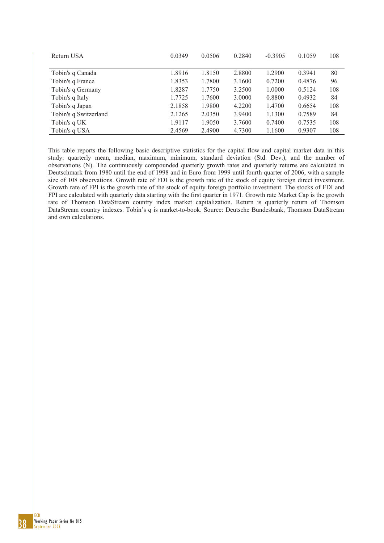| Return USA            | 0.0349 | 0.0506 | 0.2840 | $-0.3905$ | 0.1059 | 108 |
|-----------------------|--------|--------|--------|-----------|--------|-----|
|                       |        |        |        |           |        |     |
| Tobin's q Canada      | 1.8916 | 1.8150 | 2.8800 | 1.2900    | 0.3941 | 80  |
| Tobin's q France      | 1.8353 | 1.7800 | 3.1600 | 0.7200    | 0.4876 | 96  |
| Tobin's q Germany     | 1.8287 | 1.7750 | 3.2500 | 1.0000    | 0.5124 | 108 |
| Tobin's q Italy       | 1.7725 | 1.7600 | 3.0000 | 0.8800    | 0.4932 | 84  |
| Tobin's q Japan       | 2.1858 | 1.9800 | 4.2200 | 1.4700    | 0.6654 | 108 |
| Tobin's q Switzerland | 2.1265 | 2.0350 | 3.9400 | 1.1300    | 0.7589 | 84  |
| Tobin's q UK          | 1.9117 | 1.9050 | 3.7600 | 0.7400    | 0.7535 | 108 |
| Tobin's q USA         | 2.4569 | 2.4900 | 4.7300 | 1.1600    | 0.9307 | 108 |

This table reports the following basic descriptive statistics for the capital flow and capital market data in this study: quarterly mean, median, maximum, minimum, standard deviation (Std. Dev.), and the number of observations (N). The continuously compounded quarterly growth rates and quarterly returns are calculated in Deutschmark from 1980 until the end of 1998 and in Euro from 1999 until fourth quarter of 2006, with a sample size of 108 observations. Growth rate of FDI is the growth rate of the stock of equity foreign direct investment. Growth rate of FPI is the growth rate of the stock of equity foreign portfolio investment. The stocks of FDI and FPI are calculated with quarterly data starting with the first quarter in 1971. Growth rate Market Cap is the growth rate of Thomson DataStream country index market capitalization. Return is quarterly return of Thomson DataStream country indexes. Tobin's q is market-to-book. Source: Deutsche Bundesbank, Thomson DataStream and own calculations.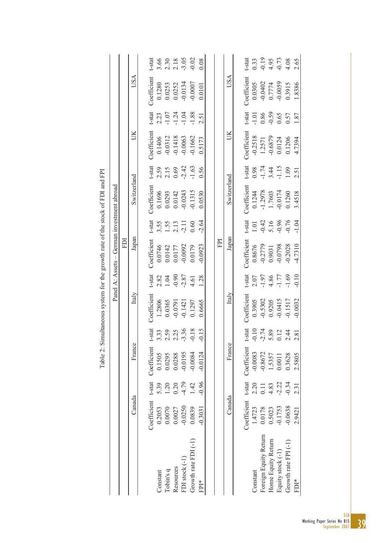|                                                                              |                                            |     |             | t-stat      |          |                            |                            | 3.66<br>2.30<br>2.18<br>3.05                   | $-0.02$              | 0.08      |     |             | t-stat      |           | $0.33$<br>$-0.19$<br>$4.95$<br>$-0.73$ |                         |                         | 4.08                            | 2.65             |
|------------------------------------------------------------------------------|--------------------------------------------|-----|-------------|-------------|----------|----------------------------|----------------------------|------------------------------------------------|----------------------|-----------|-----|-------------|-------------|-----------|----------------------------------------|-------------------------|-------------------------|---------------------------------|------------------|
|                                                                              |                                            |     | USA         | Coefficient | 0.1280   | 0.0253                     | 0.0252                     | $-0.0134$                                      | $-0.0007$            | 0.0101    |     | USA         | Coefficient | 0.0305    | $-0.0402$                              | 0.7774                  | $-0.0059$               | 0.3915                          | 1.8386           |
|                                                                              |                                            |     |             | t-stat      |          | 2.23                       | $-1.24$                    |                                                | $-1.88$              | 2.51      |     |             | t-stat      | $-1.01$   | 0.86                                   |                         | $-0.59$<br>0.65<br>0.57 |                                 | 1.87             |
|                                                                              |                                            |     | UK          | Coefficient | 0.1406   | $-0.0312$                  | $-0.1418$                  | $-0.0063$                                      | $-0.1662$            | 0.5173    |     | UК          | Coefficient | $-0.2518$ | 1.2571                                 | $-0.6879$               | 0.0124                  | 0.1206                          | 4.7394           |
|                                                                              |                                            |     |             | $t$ -stat   |          | $2.59$<br>$2.15$<br>$0.69$ |                            | $-2.42$                                        | $-1.63$              | 0.56      |     |             | $t$ -stat   |           | $0.98$<br>1.74<br>3.44<br>1.15         |                         |                         | 1.09                            | 2.51             |
|                                                                              |                                            |     | Switzerland | Coefficient |          |                            | 0.1696<br>0.0293<br>0.0142 | $-0.0243$                                      | $-0.1315$            | 0.0530    |     | Switzerland | Coefficient | 0.1244    | $-1.2978$                              | 1.7603                  | $-0.0174$               | 0.1260                          | 3.4518           |
|                                                                              |                                            |     |             | $t$ -stat   |          |                            |                            | $3.55$<br>$1.55$<br>$2.11$<br>$2.11$<br>$0.60$ |                      | $-2.64$   |     |             | $t$ -stat   | 1.01      |                                        | $-0.42$<br>5.16<br>0.96 |                         | $-0.76$                         | $-1.04$          |
|                                                                              | Panel A: Assets – German investment abroad | ΙOΗ | Japan       | Coefficient |          |                            | 0.0746<br>0.0142<br>0.0177 | $-0.0092$                                      | 0.0179               | $-0.0923$ | FPI | Japan       | Coefficient | 0.8676    | $-0.2779$                              | 0.9031                  | $-0.0798$               | $-0.2028$                       | $-4.7310$        |
|                                                                              |                                            |     |             | t-stat      |          | $2.82$<br>1.04             |                            | $-0.90$<br>$-2.87$                             | 4.61                 | 1.28      |     |             | t-stat      |           | $2.07$<br>-1.97<br>4.86<br>-1.77       |                         |                         | $-1.69$                         | 0.10             |
| Table 2: Simultaneous system for the growth rate of the stock of FDI and FPI |                                            |     | Italy       | Coefficient | 1.2806   | 0.0365                     | $-0.0791$                  | $-0.1421$                                      | 0.1297               | 0.6665    |     | Italy       | Coefficient | 0.3905    | $-0.5302$                              | 0.9205                  | $-0.0415$               | $-0.1517$                       | $-0.0032$        |
|                                                                              |                                            |     |             | t-stat      |          | 3.33<br>2.59<br>2.25       |                            | $-3.36$                                        | $-0.18$              | $-0.15$   |     |             | $t$ -stat   | $-0.10$   | $-2.74$                                | 5.89                    | 0.12                    | 2.44                            | 2.81             |
|                                                                              |                                            |     | France      | Coefficient | 0.1505   | 0.0295                     | 0.0288                     | $-0.0195$                                      | $-0.0084$            | $-0.0124$ |     | France      | Coefficient | $-0.0083$ | $-0.8672$                              | 1.5357                  | 0.0011                  | 0.3628                          | 2.5805           |
|                                                                              |                                            |     |             | t-stat      | 5.39     | 1.20                       | 0.20                       | $-4.79$                                        | 1.42                 | $-0.96$   |     |             | t-stat      | 2.20      | 0.11                                   | 4.83                    | $-2.22$                 | $-0.34$                         | 2.31             |
|                                                                              |                                            |     | Canada      | Coefficient | 0.2053   | 0.0070                     | 0.0027                     | $-0.0250$                                      | 0.0839               | 0.3031    |     | Canada      | Coefficient | 1.4723    | 0.0178                                 | 0.5023                  | $-0.1753$               | $-0.0638$                       | 2.9421           |
|                                                                              |                                            |     |             |             | Constant | Tobin's q                  | Resources                  | FDI stock (-1)                                 | Growth rate FDI (-1) | FPI*      |     |             |             | Constant  | Foreign Equity Return                  | Home Equity Return      | Equity stock (-1)       | Growth rate FPI <sup>(-1)</sup> | FDI <sup>*</sup> |

Table 2: Simultaneous system for the growth rate of the stock of FDI and FPI **CED** l,  $f + 1$ J. l.  $\zeta$  $\frac{1}{2}$ cir<br>V Table  $2$ :

39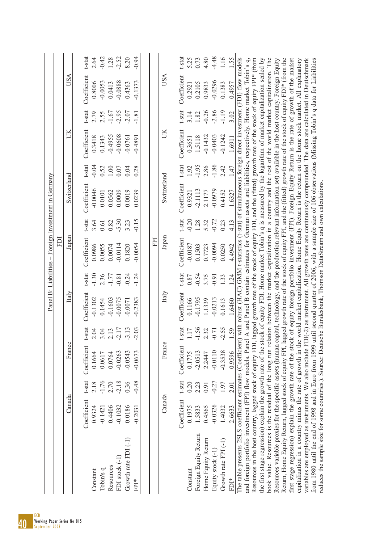| $-0.94$<br>t-stat<br>$-0.42$<br>$-2.52$<br>8.20<br>t-stat<br>$-4.48$<br>1.28<br>1.16<br>2.64<br>5.25<br>0.73<br>4.80<br>1.55<br>with robust (HAC) GMM t-statistics (t-stat) of simultaneous foreign direct investment (FDI) flow models<br>A and Panel B contain estimates for German assets and liabilities, respectively. Home market Tobin's q,<br>book value. Resources is the residual of the long run relation between the market capitalization in a country and the rest of the world market capitalization. The<br>Return, Home Equity Return, lagged stock of equity FPI, lagged growth rate of the stock of equity FPI, and the (fitted) growth rate of the stock of equity FDI* (from the<br>first stage regression) explain the growth rate of the stock of equity foreign portfolio investment (FPI). Foreign Equity Return is the rate of growth of the market<br>Resources in the host country, lagged stock of equity FDI, lagged growth rate of the stock of equity FDI, and the (fitted) growth rate of the stock of equity FPI* (from<br>capitalization in a country minus the rate of growth in the world market capitalization. Home Equity Return is the return on the home stock market. All explanatory<br>variables are employed as instruments. We also include FDI(-2) as instrument. All growth rates are continuously compounded. The data are calculated in Deutschmark<br>the first stage regression) explain the growth rate of the stock of equity FDI. Home market Tobin's q is measured by the logarithm of market capitalization scaled by<br>Resources variable proxies for the specific assets (human capital, technology, and the production relevant information set) available in the host country. Foreign Equity<br><b>USA</b><br><b>USA</b><br>Coefficient<br>Coefficient<br>$-0.0296$<br>$-0.0053$<br>$-0.0888$<br>$-0.1373$<br>0.8006<br>0.0413<br>0.1383<br>0.4957<br>0.4363<br>0.2105<br>0.9833<br>0.2921<br>t-stat<br>t-stat<br>$-2.86$<br>$-1.19$<br>$-2.95$<br>$-2.07$<br>$-0.26$<br>$-1.67$<br>3.02<br>2.79<br>2.55<br>$-1.81$<br>3.14<br>1.82<br>Coefficient<br>Coefficient<br>ŬК<br>ŬК<br>$-0.4955$<br>$-0.0608$<br>$-0.0403$<br>$-0.1242$<br>$-0.1432$<br>0.3418<br>$-0.0761$<br>0.1343<br>$-0.4891$<br>1.5118<br>1.6911<br>0.3651<br>t-stat<br>t-stat<br>$-1.86$<br>$-0.04$<br>$-1.95$<br>2.86<br>2.42<br>0.52<br>1.47<br>$1.00\,$<br>0.28<br>1.92<br>0.07<br>0.04<br>Switzerland<br>Switzerland<br>Coefficient<br>Coefficient<br>$-0.0046$<br>$-0.0979$<br>$-2.1113$<br>0.0019<br>0.0562<br>0.0009<br>0.0239<br>0.4152<br>0.0101<br>2.1177<br>1.6327<br>0.9321<br>t-stat<br>t-stat<br>$-5.30$<br>$-0.15$<br>$-0.20$<br>$-0.72$<br>3.64<br>3.23<br>1.28<br>0.23<br>4.13<br>0.82<br>5.32<br>$0.61\,$<br>Japan<br>Japan<br>Coefficient<br>FРI<br>Coefficient<br>$-0.0114$<br>$-0.0094$<br>$-0.0187$<br>0.0986<br>$-0.0054$<br>0.0055<br>0.1820<br>0.0250<br>0.0074<br>0.1503<br>0.7723<br>4.4942<br>t-stat<br>t-stat<br>$-1.30$<br>$-0.24$<br>$-1.24$<br>$-0.54$<br>$-1.77$<br>2.36<br>$-0.81$<br>1.33<br>1.24<br>3.75<br>$-0.91$<br>0.87<br>Italy<br>Italy<br>Coefficient<br>Coefficient<br>$-0.1302$<br>$-0.0075$<br>$-0.1795$<br>$-0.1603$<br>$-0.2383$<br>$-0.0213$<br>0.1166<br>0.1454<br>$-0.0071$<br>0.1613<br>1.6460<br>1.1339<br>-stat<br>-stat<br>1.56<br>$-2.55$<br>$-3.13$<br>$-2.03$<br>$-2.17$<br>$-0.71$<br>59<br>2.04<br>3.04<br>$\overline{17}$<br>2.32<br>2.13<br>The table presents 2SLS coefficient estimates (Coefficient)<br>and foreign portfolio investment (FPI) flow models. Panel<br>France<br>France<br>Coefficient<br>Coefficient<br>$-0.0110$<br>$-0.3538$<br>$-0.0543$<br>$-0.0673$<br>$-0.0263$<br>$-2.0513$<br>0.1775<br>0.9596<br>0.1664<br>0.0617<br>0.0764<br>2.2447<br>t-stat<br>$-1.76$<br>$-0.48$<br>t-stat<br>$-2.18$<br>0.36<br>2.18<br>2.70<br>$-0.27$<br>0.20<br>1.97<br>2.23<br>2.01<br>0.91<br>Canada<br>Canada<br>Coefficient<br>Coefficient<br>$-0.0326$<br>$-0.1032$<br>0.0186<br>0.1975<br>0.9324<br>0.4406<br>$-0.2031$<br>0.4565<br>1.4032<br>$-0.1421$<br>1.5833<br>2.6633<br>Foreign Equity Return<br>Growth rate FDI <sup>(-1)</sup><br>Home Equity Return<br>Growth rate $FPI(-1)$<br>Equity stock (-1)<br>FDI stock (-1)<br>Resources<br>Tobin's q<br>Constant<br>Constant<br>FDI*<br>FPI* | from 1980 until the end of 1998 and in Euro from 1999 until second quarter of 2006, with a sample size of 106 observations (Missing Tobin's q data for Liabilities<br>reduces the sample size for some countries.). Source: Deutsche Bundesbank, Thomson DataStream and own calculations. |  |  |  | Ē | Panel B: Liabilities - Foreign Investment in Germany |  |  |  |
|-----------------------------------------------------------------------------------------------------------------------------------------------------------------------------------------------------------------------------------------------------------------------------------------------------------------------------------------------------------------------------------------------------------------------------------------------------------------------------------------------------------------------------------------------------------------------------------------------------------------------------------------------------------------------------------------------------------------------------------------------------------------------------------------------------------------------------------------------------------------------------------------------------------------------------------------------------------------------------------------------------------------------------------------------------------------------------------------------------------------------------------------------------------------------------------------------------------------------------------------------------------------------------------------------------------------------------------------------------------------------------------------------------------------------------------------------------------------------------------------------------------------------------------------------------------------------------------------------------------------------------------------------------------------------------------------------------------------------------------------------------------------------------------------------------------------------------------------------------------------------------------------------------------------------------------------------------------------------------------------------------------------------------------------------------------------------------------------------------------------------------------------------------------------------------------------------------------------------------------------------------------------------------------------------------------------------------------------------------------------------------------------------------------------------------------------------------------------------------------------------------------------------------------------------------------------------------------------------------------------------------------------------------------------------------------------------------------------------------------------------------------------------------------------------------------------------------------------------------------------------------------------------------------------------------------------------------------------------------------------------------------------------------------------------------------------------------------------------------------------------------------------------------------------------------------------------------------------------------------------------------------------------------------------------------------------------------------------------------------------------------------------------------------------------------------------------------------------------------------------------------------------------------------------------------------------------------------------------------------------------------------------------------------------------------------------------------------------------------------------------------------------------------------------------------------------------------------------------------------------------------------------------------------------------------------------------------------------------------------------------------------------------------------------------------------------------------------------------------------------------------------------------------------------------------------------------------------------------------------------------------------------------------------------------------------|-------------------------------------------------------------------------------------------------------------------------------------------------------------------------------------------------------------------------------------------------------------------------------------------|--|--|--|---|------------------------------------------------------|--|--|--|
|                                                                                                                                                                                                                                                                                                                                                                                                                                                                                                                                                                                                                                                                                                                                                                                                                                                                                                                                                                                                                                                                                                                                                                                                                                                                                                                                                                                                                                                                                                                                                                                                                                                                                                                                                                                                                                                                                                                                                                                                                                                                                                                                                                                                                                                                                                                                                                                                                                                                                                                                                                                                                                                                                                                                                                                                                                                                                                                                                                                                                                                                                                                                                                                                                                                                                                                                                                                                                                                                                                                                                                                                                                                                                                                                                                                                                                                                                                                                                                                                                                                                                                                                                                                                                                                                                                           |                                                                                                                                                                                                                                                                                           |  |  |  |   |                                                      |  |  |  |
|                                                                                                                                                                                                                                                                                                                                                                                                                                                                                                                                                                                                                                                                                                                                                                                                                                                                                                                                                                                                                                                                                                                                                                                                                                                                                                                                                                                                                                                                                                                                                                                                                                                                                                                                                                                                                                                                                                                                                                                                                                                                                                                                                                                                                                                                                                                                                                                                                                                                                                                                                                                                                                                                                                                                                                                                                                                                                                                                                                                                                                                                                                                                                                                                                                                                                                                                                                                                                                                                                                                                                                                                                                                                                                                                                                                                                                                                                                                                                                                                                                                                                                                                                                                                                                                                                                           |                                                                                                                                                                                                                                                                                           |  |  |  |   |                                                      |  |  |  |
|                                                                                                                                                                                                                                                                                                                                                                                                                                                                                                                                                                                                                                                                                                                                                                                                                                                                                                                                                                                                                                                                                                                                                                                                                                                                                                                                                                                                                                                                                                                                                                                                                                                                                                                                                                                                                                                                                                                                                                                                                                                                                                                                                                                                                                                                                                                                                                                                                                                                                                                                                                                                                                                                                                                                                                                                                                                                                                                                                                                                                                                                                                                                                                                                                                                                                                                                                                                                                                                                                                                                                                                                                                                                                                                                                                                                                                                                                                                                                                                                                                                                                                                                                                                                                                                                                                           |                                                                                                                                                                                                                                                                                           |  |  |  |   |                                                      |  |  |  |
|                                                                                                                                                                                                                                                                                                                                                                                                                                                                                                                                                                                                                                                                                                                                                                                                                                                                                                                                                                                                                                                                                                                                                                                                                                                                                                                                                                                                                                                                                                                                                                                                                                                                                                                                                                                                                                                                                                                                                                                                                                                                                                                                                                                                                                                                                                                                                                                                                                                                                                                                                                                                                                                                                                                                                                                                                                                                                                                                                                                                                                                                                                                                                                                                                                                                                                                                                                                                                                                                                                                                                                                                                                                                                                                                                                                                                                                                                                                                                                                                                                                                                                                                                                                                                                                                                                           |                                                                                                                                                                                                                                                                                           |  |  |  |   |                                                      |  |  |  |
|                                                                                                                                                                                                                                                                                                                                                                                                                                                                                                                                                                                                                                                                                                                                                                                                                                                                                                                                                                                                                                                                                                                                                                                                                                                                                                                                                                                                                                                                                                                                                                                                                                                                                                                                                                                                                                                                                                                                                                                                                                                                                                                                                                                                                                                                                                                                                                                                                                                                                                                                                                                                                                                                                                                                                                                                                                                                                                                                                                                                                                                                                                                                                                                                                                                                                                                                                                                                                                                                                                                                                                                                                                                                                                                                                                                                                                                                                                                                                                                                                                                                                                                                                                                                                                                                                                           |                                                                                                                                                                                                                                                                                           |  |  |  |   |                                                      |  |  |  |
|                                                                                                                                                                                                                                                                                                                                                                                                                                                                                                                                                                                                                                                                                                                                                                                                                                                                                                                                                                                                                                                                                                                                                                                                                                                                                                                                                                                                                                                                                                                                                                                                                                                                                                                                                                                                                                                                                                                                                                                                                                                                                                                                                                                                                                                                                                                                                                                                                                                                                                                                                                                                                                                                                                                                                                                                                                                                                                                                                                                                                                                                                                                                                                                                                                                                                                                                                                                                                                                                                                                                                                                                                                                                                                                                                                                                                                                                                                                                                                                                                                                                                                                                                                                                                                                                                                           |                                                                                                                                                                                                                                                                                           |  |  |  |   |                                                      |  |  |  |
|                                                                                                                                                                                                                                                                                                                                                                                                                                                                                                                                                                                                                                                                                                                                                                                                                                                                                                                                                                                                                                                                                                                                                                                                                                                                                                                                                                                                                                                                                                                                                                                                                                                                                                                                                                                                                                                                                                                                                                                                                                                                                                                                                                                                                                                                                                                                                                                                                                                                                                                                                                                                                                                                                                                                                                                                                                                                                                                                                                                                                                                                                                                                                                                                                                                                                                                                                                                                                                                                                                                                                                                                                                                                                                                                                                                                                                                                                                                                                                                                                                                                                                                                                                                                                                                                                                           |                                                                                                                                                                                                                                                                                           |  |  |  |   |                                                      |  |  |  |
|                                                                                                                                                                                                                                                                                                                                                                                                                                                                                                                                                                                                                                                                                                                                                                                                                                                                                                                                                                                                                                                                                                                                                                                                                                                                                                                                                                                                                                                                                                                                                                                                                                                                                                                                                                                                                                                                                                                                                                                                                                                                                                                                                                                                                                                                                                                                                                                                                                                                                                                                                                                                                                                                                                                                                                                                                                                                                                                                                                                                                                                                                                                                                                                                                                                                                                                                                                                                                                                                                                                                                                                                                                                                                                                                                                                                                                                                                                                                                                                                                                                                                                                                                                                                                                                                                                           |                                                                                                                                                                                                                                                                                           |  |  |  |   |                                                      |  |  |  |
|                                                                                                                                                                                                                                                                                                                                                                                                                                                                                                                                                                                                                                                                                                                                                                                                                                                                                                                                                                                                                                                                                                                                                                                                                                                                                                                                                                                                                                                                                                                                                                                                                                                                                                                                                                                                                                                                                                                                                                                                                                                                                                                                                                                                                                                                                                                                                                                                                                                                                                                                                                                                                                                                                                                                                                                                                                                                                                                                                                                                                                                                                                                                                                                                                                                                                                                                                                                                                                                                                                                                                                                                                                                                                                                                                                                                                                                                                                                                                                                                                                                                                                                                                                                                                                                                                                           |                                                                                                                                                                                                                                                                                           |  |  |  |   |                                                      |  |  |  |
|                                                                                                                                                                                                                                                                                                                                                                                                                                                                                                                                                                                                                                                                                                                                                                                                                                                                                                                                                                                                                                                                                                                                                                                                                                                                                                                                                                                                                                                                                                                                                                                                                                                                                                                                                                                                                                                                                                                                                                                                                                                                                                                                                                                                                                                                                                                                                                                                                                                                                                                                                                                                                                                                                                                                                                                                                                                                                                                                                                                                                                                                                                                                                                                                                                                                                                                                                                                                                                                                                                                                                                                                                                                                                                                                                                                                                                                                                                                                                                                                                                                                                                                                                                                                                                                                                                           |                                                                                                                                                                                                                                                                                           |  |  |  |   |                                                      |  |  |  |
|                                                                                                                                                                                                                                                                                                                                                                                                                                                                                                                                                                                                                                                                                                                                                                                                                                                                                                                                                                                                                                                                                                                                                                                                                                                                                                                                                                                                                                                                                                                                                                                                                                                                                                                                                                                                                                                                                                                                                                                                                                                                                                                                                                                                                                                                                                                                                                                                                                                                                                                                                                                                                                                                                                                                                                                                                                                                                                                                                                                                                                                                                                                                                                                                                                                                                                                                                                                                                                                                                                                                                                                                                                                                                                                                                                                                                                                                                                                                                                                                                                                                                                                                                                                                                                                                                                           |                                                                                                                                                                                                                                                                                           |  |  |  |   |                                                      |  |  |  |
|                                                                                                                                                                                                                                                                                                                                                                                                                                                                                                                                                                                                                                                                                                                                                                                                                                                                                                                                                                                                                                                                                                                                                                                                                                                                                                                                                                                                                                                                                                                                                                                                                                                                                                                                                                                                                                                                                                                                                                                                                                                                                                                                                                                                                                                                                                                                                                                                                                                                                                                                                                                                                                                                                                                                                                                                                                                                                                                                                                                                                                                                                                                                                                                                                                                                                                                                                                                                                                                                                                                                                                                                                                                                                                                                                                                                                                                                                                                                                                                                                                                                                                                                                                                                                                                                                                           |                                                                                                                                                                                                                                                                                           |  |  |  |   |                                                      |  |  |  |
|                                                                                                                                                                                                                                                                                                                                                                                                                                                                                                                                                                                                                                                                                                                                                                                                                                                                                                                                                                                                                                                                                                                                                                                                                                                                                                                                                                                                                                                                                                                                                                                                                                                                                                                                                                                                                                                                                                                                                                                                                                                                                                                                                                                                                                                                                                                                                                                                                                                                                                                                                                                                                                                                                                                                                                                                                                                                                                                                                                                                                                                                                                                                                                                                                                                                                                                                                                                                                                                                                                                                                                                                                                                                                                                                                                                                                                                                                                                                                                                                                                                                                                                                                                                                                                                                                                           |                                                                                                                                                                                                                                                                                           |  |  |  |   |                                                      |  |  |  |
|                                                                                                                                                                                                                                                                                                                                                                                                                                                                                                                                                                                                                                                                                                                                                                                                                                                                                                                                                                                                                                                                                                                                                                                                                                                                                                                                                                                                                                                                                                                                                                                                                                                                                                                                                                                                                                                                                                                                                                                                                                                                                                                                                                                                                                                                                                                                                                                                                                                                                                                                                                                                                                                                                                                                                                                                                                                                                                                                                                                                                                                                                                                                                                                                                                                                                                                                                                                                                                                                                                                                                                                                                                                                                                                                                                                                                                                                                                                                                                                                                                                                                                                                                                                                                                                                                                           |                                                                                                                                                                                                                                                                                           |  |  |  |   |                                                      |  |  |  |
|                                                                                                                                                                                                                                                                                                                                                                                                                                                                                                                                                                                                                                                                                                                                                                                                                                                                                                                                                                                                                                                                                                                                                                                                                                                                                                                                                                                                                                                                                                                                                                                                                                                                                                                                                                                                                                                                                                                                                                                                                                                                                                                                                                                                                                                                                                                                                                                                                                                                                                                                                                                                                                                                                                                                                                                                                                                                                                                                                                                                                                                                                                                                                                                                                                                                                                                                                                                                                                                                                                                                                                                                                                                                                                                                                                                                                                                                                                                                                                                                                                                                                                                                                                                                                                                                                                           |                                                                                                                                                                                                                                                                                           |  |  |  |   |                                                      |  |  |  |
|                                                                                                                                                                                                                                                                                                                                                                                                                                                                                                                                                                                                                                                                                                                                                                                                                                                                                                                                                                                                                                                                                                                                                                                                                                                                                                                                                                                                                                                                                                                                                                                                                                                                                                                                                                                                                                                                                                                                                                                                                                                                                                                                                                                                                                                                                                                                                                                                                                                                                                                                                                                                                                                                                                                                                                                                                                                                                                                                                                                                                                                                                                                                                                                                                                                                                                                                                                                                                                                                                                                                                                                                                                                                                                                                                                                                                                                                                                                                                                                                                                                                                                                                                                                                                                                                                                           |                                                                                                                                                                                                                                                                                           |  |  |  |   |                                                      |  |  |  |
|                                                                                                                                                                                                                                                                                                                                                                                                                                                                                                                                                                                                                                                                                                                                                                                                                                                                                                                                                                                                                                                                                                                                                                                                                                                                                                                                                                                                                                                                                                                                                                                                                                                                                                                                                                                                                                                                                                                                                                                                                                                                                                                                                                                                                                                                                                                                                                                                                                                                                                                                                                                                                                                                                                                                                                                                                                                                                                                                                                                                                                                                                                                                                                                                                                                                                                                                                                                                                                                                                                                                                                                                                                                                                                                                                                                                                                                                                                                                                                                                                                                                                                                                                                                                                                                                                                           |                                                                                                                                                                                                                                                                                           |  |  |  |   |                                                      |  |  |  |
|                                                                                                                                                                                                                                                                                                                                                                                                                                                                                                                                                                                                                                                                                                                                                                                                                                                                                                                                                                                                                                                                                                                                                                                                                                                                                                                                                                                                                                                                                                                                                                                                                                                                                                                                                                                                                                                                                                                                                                                                                                                                                                                                                                                                                                                                                                                                                                                                                                                                                                                                                                                                                                                                                                                                                                                                                                                                                                                                                                                                                                                                                                                                                                                                                                                                                                                                                                                                                                                                                                                                                                                                                                                                                                                                                                                                                                                                                                                                                                                                                                                                                                                                                                                                                                                                                                           |                                                                                                                                                                                                                                                                                           |  |  |  |   |                                                      |  |  |  |
|                                                                                                                                                                                                                                                                                                                                                                                                                                                                                                                                                                                                                                                                                                                                                                                                                                                                                                                                                                                                                                                                                                                                                                                                                                                                                                                                                                                                                                                                                                                                                                                                                                                                                                                                                                                                                                                                                                                                                                                                                                                                                                                                                                                                                                                                                                                                                                                                                                                                                                                                                                                                                                                                                                                                                                                                                                                                                                                                                                                                                                                                                                                                                                                                                                                                                                                                                                                                                                                                                                                                                                                                                                                                                                                                                                                                                                                                                                                                                                                                                                                                                                                                                                                                                                                                                                           |                                                                                                                                                                                                                                                                                           |  |  |  |   |                                                      |  |  |  |
|                                                                                                                                                                                                                                                                                                                                                                                                                                                                                                                                                                                                                                                                                                                                                                                                                                                                                                                                                                                                                                                                                                                                                                                                                                                                                                                                                                                                                                                                                                                                                                                                                                                                                                                                                                                                                                                                                                                                                                                                                                                                                                                                                                                                                                                                                                                                                                                                                                                                                                                                                                                                                                                                                                                                                                                                                                                                                                                                                                                                                                                                                                                                                                                                                                                                                                                                                                                                                                                                                                                                                                                                                                                                                                                                                                                                                                                                                                                                                                                                                                                                                                                                                                                                                                                                                                           |                                                                                                                                                                                                                                                                                           |  |  |  |   |                                                      |  |  |  |
|                                                                                                                                                                                                                                                                                                                                                                                                                                                                                                                                                                                                                                                                                                                                                                                                                                                                                                                                                                                                                                                                                                                                                                                                                                                                                                                                                                                                                                                                                                                                                                                                                                                                                                                                                                                                                                                                                                                                                                                                                                                                                                                                                                                                                                                                                                                                                                                                                                                                                                                                                                                                                                                                                                                                                                                                                                                                                                                                                                                                                                                                                                                                                                                                                                                                                                                                                                                                                                                                                                                                                                                                                                                                                                                                                                                                                                                                                                                                                                                                                                                                                                                                                                                                                                                                                                           |                                                                                                                                                                                                                                                                                           |  |  |  |   |                                                      |  |  |  |
|                                                                                                                                                                                                                                                                                                                                                                                                                                                                                                                                                                                                                                                                                                                                                                                                                                                                                                                                                                                                                                                                                                                                                                                                                                                                                                                                                                                                                                                                                                                                                                                                                                                                                                                                                                                                                                                                                                                                                                                                                                                                                                                                                                                                                                                                                                                                                                                                                                                                                                                                                                                                                                                                                                                                                                                                                                                                                                                                                                                                                                                                                                                                                                                                                                                                                                                                                                                                                                                                                                                                                                                                                                                                                                                                                                                                                                                                                                                                                                                                                                                                                                                                                                                                                                                                                                           |                                                                                                                                                                                                                                                                                           |  |  |  |   |                                                      |  |  |  |
|                                                                                                                                                                                                                                                                                                                                                                                                                                                                                                                                                                                                                                                                                                                                                                                                                                                                                                                                                                                                                                                                                                                                                                                                                                                                                                                                                                                                                                                                                                                                                                                                                                                                                                                                                                                                                                                                                                                                                                                                                                                                                                                                                                                                                                                                                                                                                                                                                                                                                                                                                                                                                                                                                                                                                                                                                                                                                                                                                                                                                                                                                                                                                                                                                                                                                                                                                                                                                                                                                                                                                                                                                                                                                                                                                                                                                                                                                                                                                                                                                                                                                                                                                                                                                                                                                                           |                                                                                                                                                                                                                                                                                           |  |  |  |   |                                                      |  |  |  |
|                                                                                                                                                                                                                                                                                                                                                                                                                                                                                                                                                                                                                                                                                                                                                                                                                                                                                                                                                                                                                                                                                                                                                                                                                                                                                                                                                                                                                                                                                                                                                                                                                                                                                                                                                                                                                                                                                                                                                                                                                                                                                                                                                                                                                                                                                                                                                                                                                                                                                                                                                                                                                                                                                                                                                                                                                                                                                                                                                                                                                                                                                                                                                                                                                                                                                                                                                                                                                                                                                                                                                                                                                                                                                                                                                                                                                                                                                                                                                                                                                                                                                                                                                                                                                                                                                                           |                                                                                                                                                                                                                                                                                           |  |  |  |   |                                                      |  |  |  |
|                                                                                                                                                                                                                                                                                                                                                                                                                                                                                                                                                                                                                                                                                                                                                                                                                                                                                                                                                                                                                                                                                                                                                                                                                                                                                                                                                                                                                                                                                                                                                                                                                                                                                                                                                                                                                                                                                                                                                                                                                                                                                                                                                                                                                                                                                                                                                                                                                                                                                                                                                                                                                                                                                                                                                                                                                                                                                                                                                                                                                                                                                                                                                                                                                                                                                                                                                                                                                                                                                                                                                                                                                                                                                                                                                                                                                                                                                                                                                                                                                                                                                                                                                                                                                                                                                                           |                                                                                                                                                                                                                                                                                           |  |  |  |   |                                                      |  |  |  |
|                                                                                                                                                                                                                                                                                                                                                                                                                                                                                                                                                                                                                                                                                                                                                                                                                                                                                                                                                                                                                                                                                                                                                                                                                                                                                                                                                                                                                                                                                                                                                                                                                                                                                                                                                                                                                                                                                                                                                                                                                                                                                                                                                                                                                                                                                                                                                                                                                                                                                                                                                                                                                                                                                                                                                                                                                                                                                                                                                                                                                                                                                                                                                                                                                                                                                                                                                                                                                                                                                                                                                                                                                                                                                                                                                                                                                                                                                                                                                                                                                                                                                                                                                                                                                                                                                                           |                                                                                                                                                                                                                                                                                           |  |  |  |   |                                                      |  |  |  |
|                                                                                                                                                                                                                                                                                                                                                                                                                                                                                                                                                                                                                                                                                                                                                                                                                                                                                                                                                                                                                                                                                                                                                                                                                                                                                                                                                                                                                                                                                                                                                                                                                                                                                                                                                                                                                                                                                                                                                                                                                                                                                                                                                                                                                                                                                                                                                                                                                                                                                                                                                                                                                                                                                                                                                                                                                                                                                                                                                                                                                                                                                                                                                                                                                                                                                                                                                                                                                                                                                                                                                                                                                                                                                                                                                                                                                                                                                                                                                                                                                                                                                                                                                                                                                                                                                                           |                                                                                                                                                                                                                                                                                           |  |  |  |   |                                                      |  |  |  |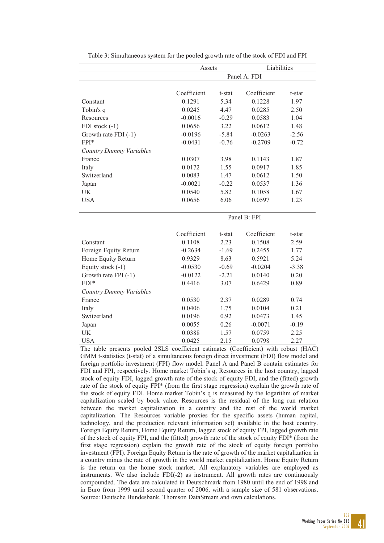|                                | Assets      |         | Liabilities  |         |
|--------------------------------|-------------|---------|--------------|---------|
|                                |             |         | Panel A: FDI |         |
|                                |             |         |              |         |
|                                | Coefficient | t-stat  | Coefficient  | t-stat  |
| Constant                       | 0.1291      | 5.34    | 0.1228       | 1.97    |
| Tobin's q                      | 0.0245      | 4.47    | 0.0285       | 2.50    |
| <b>Resources</b>               | $-0.0016$   | $-0.29$ | 0.0583       | 1.04    |
| FDI stock $(-1)$               | 0.0656      | 3.22    | 0.0612       | 1.48    |
| Growth rate FDI (-1)           | $-0.0196$   | $-5.84$ | $-0.0263$    | $-2.56$ |
| FPI*                           | $-0.0431$   | $-0.76$ | $-0.2709$    | $-0.72$ |
| <b>Country Dummy Variables</b> |             |         |              |         |
| France                         | 0.0307      | 3.98    | 0.1143       | 1.87    |
| Italy                          | 0.0172      | 1.55    | 0.0917       | 1.85    |
| Switzerland                    | 0.0083      | 1.47    | 0.0612       | 1.50    |
| Japan                          | $-0.0021$   | $-0.22$ | 0.0537       | 1.36    |
| <b>UK</b>                      | 0.0540      | 5.82    | 0.1058       | 1.67    |
| <b>USA</b>                     | 0.0656      | 6.06    | 0.0597       | 1.23    |
|                                |             |         |              |         |
|                                |             |         | Panel B: FPI |         |
|                                |             |         |              |         |
|                                | Coefficient | t-stat  | Coefficient  | t-stat  |
| Constant                       | 0.1108      | 2.23    | 0.1508       | 2.59    |
| Foreign Equity Return          | $-0.2634$   | $-1.69$ | 0.2455       | 1.77    |
| Home Equity Return             | 0.9329      | 8.63    | 0.5921       | 5.24    |
| Equity stock (-1)              | $-0.0530$   | $-0.69$ | $-0.0204$    | $-3.38$ |
| Growth rate FPI (-1)           | $-0.0122$   | $-2.21$ | 0.0140       | 0.20    |
| $FDI*$                         | 0.4416      | 3.07    | 0.6429       | 0.89    |
| <b>Country Dummy Variables</b> |             |         |              |         |
| France                         | 0.0530      | 2.37    | 0.0289       | 0.74    |
| Italy                          | 0.0406      | 1.75    | 0.0104       | 0.21    |
| Switzerland                    | 0.0196      | 0.92    | 0.0473       | 1.45    |
| Japan                          | 0.0055      | 0.26    | $-0.0071$    | $-0.19$ |
| UK                             | 0.0388      | 1.57    | 0.0759       | 2.25    |
| <b>USA</b>                     | 0.0425      | 2.15    | 0.0798       | 2.27    |

Table 3: Simultaneous system for the pooled growth rate of the stock of FDI and FPI

The table presents pooled 2SLS coefficient estimates (Coefficient) with robust (HAC) GMM t-statistics (t-stat) of a simultaneous foreign direct investment (FDI) flow model and foreign portfolio investment (FPI) flow model. Panel A and Panel B contain estimates for FDI and FPI, respectively. Home market Tobin's q, Resources in the host country, lagged stock of equity FDI, lagged growth rate of the stock of equity FDI, and the (fitted) growth rate of the stock of equity FPI\* (from the first stage regression) explain the growth rate of the stock of equity FDI. Home market Tobin's q is measured by the logarithm of market capitalization scaled by book value. Resources is the residual of the long run relation between the market capitalization in a country and the rest of the world market capitalization. The Resources variable proxies for the specific assets (human capital, technology, and the production relevant information set) available in the host country. Foreign Equity Return, Home Equity Return, lagged stock of equity FPI, lagged growth rate of the stock of equity FPI, and the (fitted) growth rate of the stock of equity FDI\* (from the first stage regression) explain the growth rate of the stock of equity foreign portfolio investment (FPI). Foreign Equity Return is the rate of growth of the market capitalization in a country minus the rate of growth in the world market capitalization. Home Equity Return is the return on the home stock market. All explanatory variables are employed as instruments. We also include FDI(-2) as instrument. All growth rates are continuously compounded. The data are calculated in Deutschmark from 1980 until the end of 1998 and in Euro from 1999 until second quarter of 2006, with a sample size of 581 observations. Source: Deutsche Bundesbank, Thomson DataStream and own calculations.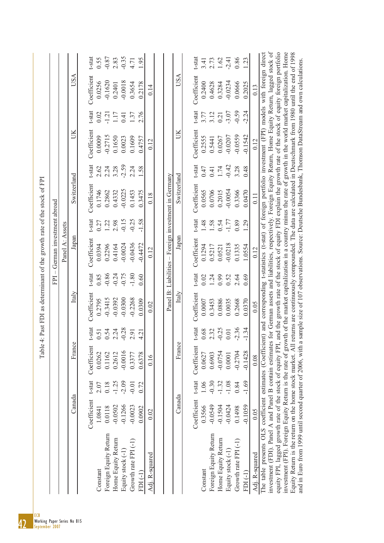| t-stat<br>$-0.86$<br>$-1.80$<br>t-stat<br>$-0.24$<br>$-0.75$<br>0.85<br>0.60<br>0.02<br>1.24<br>Italy<br>Italy<br>Coefficient<br>Coefficient<br>$-0.3415$<br>$-0.0300$<br>$-0.2268$<br>$-0.0392$<br>0.0309<br>0.2795<br>0.3453<br>0.0007<br>0.02<br>t-stat<br>t-stat<br>$-0.28$<br>0.68<br>2.32<br>0.54<br>2.24<br>0.51<br>2.91<br>4.21<br>France<br>France<br>Coefficient<br>Coefficient<br>$-0.0016$<br>0.2612<br>0.6378<br>0.0262<br>0.1162<br>0.3377<br>0.6903<br>0.0627<br>0.16<br>t-stat<br>t-stat<br>$-0.30$<br>$-1.25$<br>$-2.09$<br>$-0.01$<br>0.18<br>1.06<br>0.72<br>2.07<br>Canada<br>Canada<br>Coefficient<br>Coefficient<br>$-0.1266$<br>$-0.0549$<br>$-0.0502$<br>$-0.0023$<br>0.3566<br>0.0118<br>0.0902<br>1.0841<br>0.02<br>Foreign Equity Return<br>Foreign Equity Return<br>Home Equity Return<br>Growth rate $FPI(-1)$<br>Equity stock (-1<br>Adj. R-squared<br>Constant<br>Constant<br>$FDI(-1)$ | Panel B: Liabilities – Foreign investment in Germany<br>t-stat<br>$-0.15$<br>$-0.25$<br>$-1.58$<br>1.22<br>2.98<br>0.27<br>Panel A: Assets<br>Japan<br>Japan<br>Coefficient<br>$-0.0436$<br>$-0.0024$<br>$-0.4472$<br>0.2296<br>0.4164<br>0.0394<br>0.12 | t-stat<br>$-2.59$<br>2.24<br>2.62<br>3.28<br>2.24<br>1.58<br>Switzerland<br>Coefficient<br>$-0.0225$<br>0.1746<br>0.2862<br>0.3475<br>0.4332<br>0.1453<br>0.18 | $-1.21$<br>0.41<br>Coefficient<br>ŬК<br>$-0.2715$<br>0.1609<br>0.0009<br>0.1650<br>0.0023<br>0.4757<br>0.12 | $-0.35$<br><b>USA</b><br>Coefficient<br>$-0.1620$<br>$-0.0018$<br>0.0256<br>0.2178<br>0.3654<br>0.2401<br>0.14<br>t-stat<br>2.76<br>1.37<br>0.02<br>1.17 |
|------------------------------------------------------------------------------------------------------------------------------------------------------------------------------------------------------------------------------------------------------------------------------------------------------------------------------------------------------------------------------------------------------------------------------------------------------------------------------------------------------------------------------------------------------------------------------------------------------------------------------------------------------------------------------------------------------------------------------------------------------------------------------------------------------------------------------------------------------------------------------------------------------------------------|----------------------------------------------------------------------------------------------------------------------------------------------------------------------------------------------------------------------------------------------------------|----------------------------------------------------------------------------------------------------------------------------------------------------------------|-------------------------------------------------------------------------------------------------------------|----------------------------------------------------------------------------------------------------------------------------------------------------------|
|                                                                                                                                                                                                                                                                                                                                                                                                                                                                                                                                                                                                                                                                                                                                                                                                                                                                                                                        |                                                                                                                                                                                                                                                          |                                                                                                                                                                |                                                                                                             |                                                                                                                                                          |
|                                                                                                                                                                                                                                                                                                                                                                                                                                                                                                                                                                                                                                                                                                                                                                                                                                                                                                                        |                                                                                                                                                                                                                                                          |                                                                                                                                                                |                                                                                                             |                                                                                                                                                          |
|                                                                                                                                                                                                                                                                                                                                                                                                                                                                                                                                                                                                                                                                                                                                                                                                                                                                                                                        |                                                                                                                                                                                                                                                          |                                                                                                                                                                |                                                                                                             |                                                                                                                                                          |
|                                                                                                                                                                                                                                                                                                                                                                                                                                                                                                                                                                                                                                                                                                                                                                                                                                                                                                                        |                                                                                                                                                                                                                                                          |                                                                                                                                                                |                                                                                                             |                                                                                                                                                          |
|                                                                                                                                                                                                                                                                                                                                                                                                                                                                                                                                                                                                                                                                                                                                                                                                                                                                                                                        |                                                                                                                                                                                                                                                          |                                                                                                                                                                |                                                                                                             |                                                                                                                                                          |
|                                                                                                                                                                                                                                                                                                                                                                                                                                                                                                                                                                                                                                                                                                                                                                                                                                                                                                                        |                                                                                                                                                                                                                                                          |                                                                                                                                                                |                                                                                                             |                                                                                                                                                          |
|                                                                                                                                                                                                                                                                                                                                                                                                                                                                                                                                                                                                                                                                                                                                                                                                                                                                                                                        |                                                                                                                                                                                                                                                          |                                                                                                                                                                |                                                                                                             |                                                                                                                                                          |
|                                                                                                                                                                                                                                                                                                                                                                                                                                                                                                                                                                                                                                                                                                                                                                                                                                                                                                                        |                                                                                                                                                                                                                                                          |                                                                                                                                                                |                                                                                                             |                                                                                                                                                          |
|                                                                                                                                                                                                                                                                                                                                                                                                                                                                                                                                                                                                                                                                                                                                                                                                                                                                                                                        |                                                                                                                                                                                                                                                          |                                                                                                                                                                |                                                                                                             |                                                                                                                                                          |
|                                                                                                                                                                                                                                                                                                                                                                                                                                                                                                                                                                                                                                                                                                                                                                                                                                                                                                                        |                                                                                                                                                                                                                                                          |                                                                                                                                                                |                                                                                                             |                                                                                                                                                          |
|                                                                                                                                                                                                                                                                                                                                                                                                                                                                                                                                                                                                                                                                                                                                                                                                                                                                                                                        |                                                                                                                                                                                                                                                          |                                                                                                                                                                |                                                                                                             |                                                                                                                                                          |
|                                                                                                                                                                                                                                                                                                                                                                                                                                                                                                                                                                                                                                                                                                                                                                                                                                                                                                                        |                                                                                                                                                                                                                                                          | Switzerland                                                                                                                                                    | ŬК                                                                                                          | <b>USA</b>                                                                                                                                               |
|                                                                                                                                                                                                                                                                                                                                                                                                                                                                                                                                                                                                                                                                                                                                                                                                                                                                                                                        | t-stat<br>Coefficient                                                                                                                                                                                                                                    | t-stat<br>Coefficient                                                                                                                                          | Coefficient                                                                                                 | t-stat<br>Coefficient<br>t-stat                                                                                                                          |
|                                                                                                                                                                                                                                                                                                                                                                                                                                                                                                                                                                                                                                                                                                                                                                                                                                                                                                                        | 1.48<br>0.1294                                                                                                                                                                                                                                           | 0.47<br>0.0565                                                                                                                                                 | 0.2555                                                                                                      | 0.2400<br>3.77                                                                                                                                           |
|                                                                                                                                                                                                                                                                                                                                                                                                                                                                                                                                                                                                                                                                                                                                                                                                                                                                                                                        | 1.58<br>0.5217                                                                                                                                                                                                                                           | 0.41<br>0.0706                                                                                                                                                 | 0.5441                                                                                                      | 0.4628<br>3.12                                                                                                                                           |
| 0.99<br>0.0886<br>$-0.25$<br>$-0.0754$<br>$-1.32$<br>$-0.1504$<br>Home Equity Return                                                                                                                                                                                                                                                                                                                                                                                                                                                                                                                                                                                                                                                                                                                                                                                                                                   | 0.54<br>0.0521                                                                                                                                                                                                                                           | 1.74<br>0.2015                                                                                                                                                 | 0.21<br>0.0267                                                                                              | 0.3284                                                                                                                                                   |
| 0.52<br>0.0035<br>$0.01\,$<br>0.0001<br>$-1.08$<br>$-0.0424$<br>Equity stock (-1)                                                                                                                                                                                                                                                                                                                                                                                                                                                                                                                                                                                                                                                                                                                                                                                                                                      | $-1.77$<br>$-0.0218$                                                                                                                                                                                                                                     | $-0.42$<br>$-0.0054$                                                                                                                                           | $-0.0207$                                                                                                   | $-2.41$<br>$-0.0234$<br>$-3.07$                                                                                                                          |
| 2.64<br>0.2668<br>$-2.36$<br>$-0.2704$<br>0.84<br>0.1498<br>Growth rate $FPI(-1)$                                                                                                                                                                                                                                                                                                                                                                                                                                                                                                                                                                                                                                                                                                                                                                                                                                      | 0.89<br>0.1335                                                                                                                                                                                                                                           | 3.28<br>0.3366                                                                                                                                                 | $-0.0559$                                                                                                   | 0.0666<br>$-0.59$                                                                                                                                        |
| 0.69<br>0.0370<br>$-1.34$<br>$-0.1428$<br>$-1.69$<br>$-0.1059$<br>$FDI(-1)$                                                                                                                                                                                                                                                                                                                                                                                                                                                                                                                                                                                                                                                                                                                                                                                                                                            | 1.29<br>1.0554                                                                                                                                                                                                                                           | 0.48<br>0.0470                                                                                                                                                 | $-0.1542$                                                                                                   | 0.2025<br>$-2.24$                                                                                                                                        |
| 0.05<br>0.08<br>0.05<br>Adj. R-squared                                                                                                                                                                                                                                                                                                                                                                                                                                                                                                                                                                                                                                                                                                                                                                                                                                                                                 | 0.12                                                                                                                                                                                                                                                     | 0.11                                                                                                                                                           | 0.12                                                                                                        | 0.13                                                                                                                                                     |
| The table presents OLS coefficient estimates (Coefficient) and corresponding t-statistics (t-stat) of foreign portfolio investment (FPI) models with foreign direct                                                                                                                                                                                                                                                                                                                                                                                                                                                                                                                                                                                                                                                                                                                                                    |                                                                                                                                                                                                                                                          |                                                                                                                                                                |                                                                                                             |                                                                                                                                                          |
| investment (FDI). Panel A and Panel B contain estimates for German assets and liabilities, respectively. Foreign Equity Return, Home Equity Return, lagged stock of                                                                                                                                                                                                                                                                                                                                                                                                                                                                                                                                                                                                                                                                                                                                                    |                                                                                                                                                                                                                                                          |                                                                                                                                                                |                                                                                                             |                                                                                                                                                          |
| and the growth rate of the stock of equity FDI explain the growth rate of the stock of equity foreign portfolio<br>equity FPI, lagged growth rate of the stock of equity FPI,                                                                                                                                                                                                                                                                                                                                                                                                                                                                                                                                                                                                                                                                                                                                          |                                                                                                                                                                                                                                                          |                                                                                                                                                                |                                                                                                             |                                                                                                                                                          |
| investment (FPI). Foreign Equity Return is the rate of growth of the market capitalization in a country minus the rate of growth in the world market capitalization. Home<br>Equity Return is the return on the home stock market. All returns are continuously compounded. The data are calculated in Deutschmark from 1980 until the end of 1998                                                                                                                                                                                                                                                                                                                                                                                                                                                                                                                                                                     |                                                                                                                                                                                                                                                          |                                                                                                                                                                |                                                                                                             |                                                                                                                                                          |
|                                                                                                                                                                                                                                                                                                                                                                                                                                                                                                                                                                                                                                                                                                                                                                                                                                                                                                                        |                                                                                                                                                                                                                                                          |                                                                                                                                                                |                                                                                                             |                                                                                                                                                          |

ECB Working Paper Series No 815

42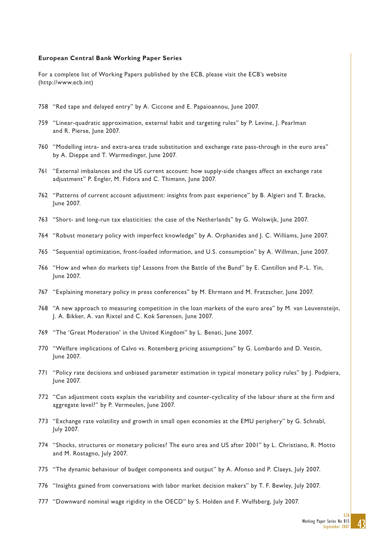#### **European Central Bank Working Paper Series**

For a complete list of Working Papers published by the ECB, please visit the ECB's website (http://www.ecb.int)

- 758 "Red tape and delayed entry" by A. Ciccone and E. Papaioannou, June 2007.
- 759 "Linear-quadratic approximation, external habit and targeting rules" by P. Levine, J. Pearlman and R. Pierse, June 2007.
- 760 "Modelling intra- and extra-area trade substitution and exchange rate pass-through in the euro area" by A. Dieppe and T. Warmedinger, June 2007.
- 761 "External imbalances and the US current account: how supply-side changes affect an exchange rate adjustment" P. Engler, M. Fidora and C. Thimann, June 2007.
- 762 "Patterns of current account adjustment: insights from past experience" by B. Algieri and T. Bracke, June 2007.
- 763 "Short- and long-run tax elasticities: the case of the Netherlands" by G. Wolswijk, June 2007.
- 764 "Robust monetary policy with imperfect knowledge" by A. Orphanides and J. C. Williams, June 2007.
- 765 "Sequential optimization, front-loaded information, and U.S. consumption" by A. Willman, June 2007.
- 766 "How and when do markets tip? Lessons from the Battle of the Bund" by E. Cantillon and P.-L. Yin, June 2007.
- 767 "Explaining monetary policy in press conferences" by M. Ehrmann and M. Fratzscher, June 2007.
- 768 "A new approach to measuring competition in the loan markets of the euro area" by M. van Leuvensteijn, J. A. Bikker, A. van Rixtel and C. Kok Sørensen, June 2007.
- 769 "The 'Great Moderation' in the United Kingdom" by L. Benati, June 2007.
- 770 "Welfare implications of Calvo vs. Rotemberg pricing assumptions" by G. Lombardo and D. Vestin, June 2007.
- 771 "Policy rate decisions and unbiased parameter estimation in typical monetary policy rules" by J. Podpiera, June 2007.
- 772 "Can adjustment costs explain the variability and counter-cyclicality of the labour share at the firm and aggregate level?" by P. Vermeulen, June 2007.
- 773 "Exchange rate volatility and growth in small open economies at the EMU periphery" by G. Schnabl, July 2007.
- 774 "Shocks, structures or monetary policies? The euro area and US after 2001" by L. Christiano, R. Motto and M. Rostagno, July 2007.
- 775 "The dynamic behaviour of budget components and output" by A. Afonso and P. Claeys, July 2007.
- 776 "Insights gained from conversations with labor market decision makers" by T. F. Bewley, July 2007.
- 777 "Downward nominal wage rigidity in the OECD" by S. Holden and F. Wulfsberg, July 2007.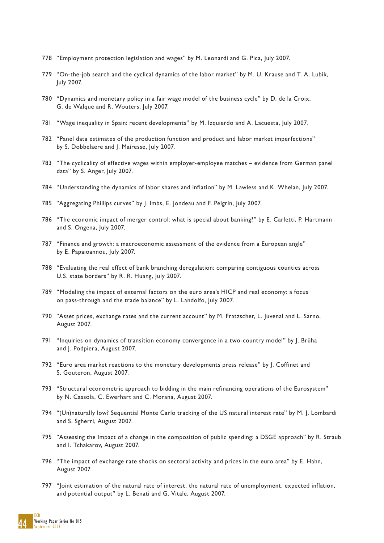- 778 "Employment protection legislation and wages" by M. Leonardi and G. Pica, July 2007.
- 779 "On-the-job search and the cyclical dynamics of the labor market" by M. U. Krause and T. A. Lubik, July 2007.
- 780 "Dynamics and monetary policy in a fair wage model of the business cycle" by D. de la Croix, G. de Walque and R. Wouters, July 2007.
- 781 "Wage inequality in Spain: recent developments" by M. Izquierdo and A. Lacuesta, July 2007.
- 782 "Panel data estimates of the production function and product and labor market imperfections" by S. Dobbelaere and J. Mairesse, July 2007.
- 783 "The cyclicality of effective wages within employer-employee matches evidence from German panel data" by S. Anger, July 2007.
- 784 "Understanding the dynamics of labor shares and inflation" by M. Lawless and K. Whelan, July 2007.
- 785 "Aggregating Phillips curves" by J. Imbs, E. Jondeau and F. Pelgrin, July 2007.
- 786 "The economic impact of merger control: what is special about banking?" by E. Carletti, P. Hartmann and S. Ongena, July 2007.
- 787 "Finance and growth: a macroeconomic assessment of the evidence from a European angle" by E. Papaioannou, July 2007.
- 788 "Evaluating the real effect of bank branching deregulation: comparing contiguous counties across U.S. state borders" by R. R. Huang, July 2007.
- 789 "Modeling the impact of external factors on the euro area's HICP and real economy: a focus on pass-through and the trade balance" by L. Landolfo, July 2007.
- 790 "Asset prices, exchange rates and the current account" by M. Fratzscher, L. Juvenal and L. Sarno, August 2007.
- 791 "Inquiries on dynamics of transition economy convergence in a two-country model" by J. Brůha and J. Podpiera, August 2007.
- 792 "Euro area market reactions to the monetary developments press release" by J. Coffinet and S. Gouteron, August 2007.
- 793 "Structural econometric approach to bidding in the main refinancing operations of the Eurosystem" by N. Cassola, C. Ewerhart and C. Morana, August 2007.
- 794 "(Un)naturally low? Sequential Monte Carlo tracking of the US natural interest rate" by M. J. Lombardi and S. Sgherri, August 2007.
- 795 "Assessing the Impact of a change in the composition of public spending: a DSGE approach" by R. Straub and I. Tchakarov, August 2007.
- 796 "The impact of exchange rate shocks on sectoral activity and prices in the euro area" by E. Hahn, August 2007.
- 797 "Joint estimation of the natural rate of interest, the natural rate of unemployment, expected inflation, and potential output" by L. Benati and G. Vitale, August 2007.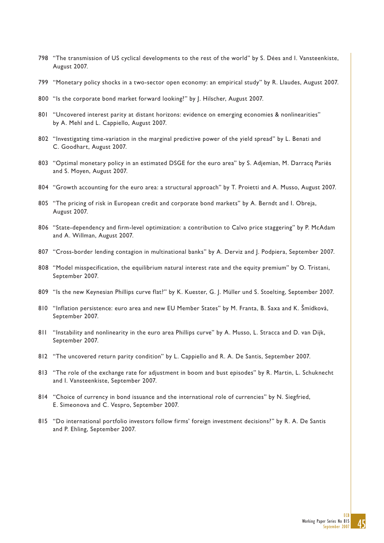- 798 "The transmission of US cyclical developments to the rest of the world" by S. Dées and I. Vansteenkiste, August 2007.
- 799 "Monetary policy shocks in a two-sector open economy: an empirical study" by R. Llaudes, August 2007.
- 800 "Is the corporate bond market forward looking?" by J. Hilscher, August 2007.
- 801 "Uncovered interest parity at distant horizons: evidence on emerging economies & nonlinearities" by A. Mehl and L. Cappiello, August 2007.
- 802 "Investigating time-variation in the marginal predictive power of the yield spread" by L. Benati and C. Goodhart, August 2007.
- 803 "Optimal monetary policy in an estimated DSGE for the euro area" by S. Adjemian, M. Darracq Pariès and S. Moyen, August 2007.
- 804 "Growth accounting for the euro area: a structural approach" by T. Proietti and A. Musso, August 2007.
- 805 "The pricing of risk in European credit and corporate bond markets" by A. Berndt and I. Obreja, August 2007.
- 806 "State-dependency and firm-level optimization: a contribution to Calvo price staggering" by P. McAdam and A. Willman, August 2007.
- 807 "Cross-border lending contagion in multinational banks" by A. Derviz and J. Podpiera, September 2007.
- 808 "Model misspecification, the equilibrium natural interest rate and the equity premium" by O. Tristani, September 2007.
- 809 "Is the new Keynesian Phillips curve flat?" by K. Kuester, G. J. Müller und S. Stoelting, September 2007.
- 810 "Inflation persistence: euro area and new EU Member States" by M. Franta, B. Saxa and K. Šmídková, September 2007.
- 811 "Instability and nonlinearity in the euro area Phillips curve" by A. Musso, L. Stracca and D. van Dijk, September 2007.
- 812 "The uncovered return parity condition" by L. Cappiello and R. A. De Santis, September 2007.
- 813 "The role of the exchange rate for adjustment in boom and bust episodes" by R. Martin, L. Schuknecht and I. Vansteenkiste, September 2007.
- 814 "Choice of currency in bond issuance and the international role of currencies" by N. Siegfried, E. Simeonova and C. Vespro, September 2007.
- 815 "Do international portfolio investors follow firms' foreign investment decisions?" by R. A. De Santis and P. Ehling, September 2007.